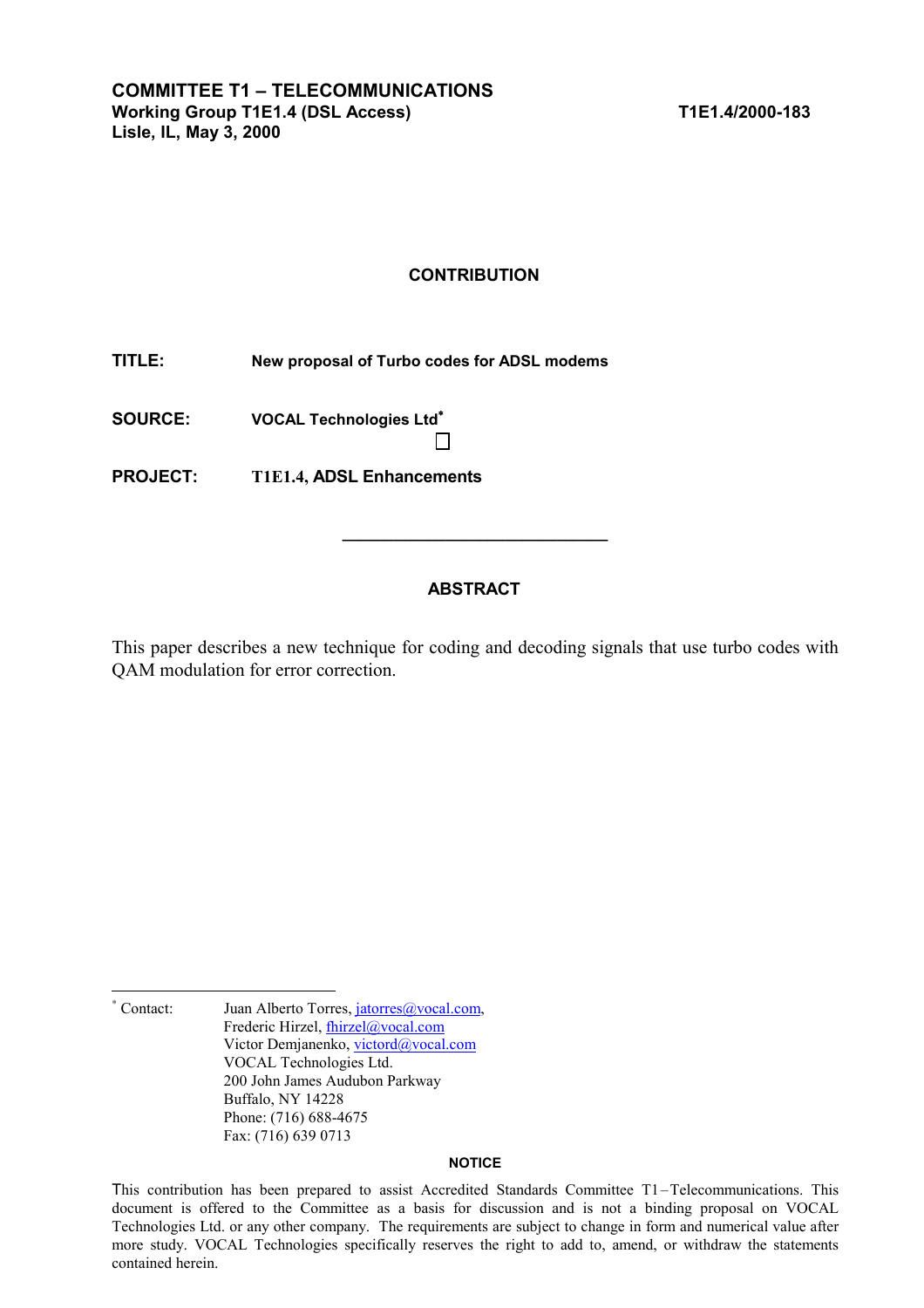### **CONTRIBUTION**

**TITLE: New proposal of Turbo codes for ADSL modems** 

**SOURCE: VOCAL Technologies Ltd**<sup>∗</sup>

**PROJECT: T1E1.4, ADSL Enhancements**

# **ABSTRACT**

**\_\_\_\_\_\_\_\_\_\_\_\_\_\_\_\_\_\_\_\_\_\_\_\_\_\_\_\_\_\_\_** 

This paper describes a new technique for coding and decoding signals that use turbo codes with QAM modulation for error correction.

∗ Juan Alberto Torres, jatorres@vocal.com, Frederic Hirzel, *fhirzel@vocal.com* Victor Demjanenko, victord@vocal.com VOCAL Technologies Ltd. 200 John James Audubon Parkway Buffalo, NY 14228 Phone: (716) 688-4675 Fax: (716) 639 0713

l

#### **NOTICE**

This contribution has been prepared to assist Accredited Standards Committee T1–Telecommunications. This document is offered to the Committee as a basis for discussion and is not a binding proposal on VOCAL Technologies Ltd. or any other company. The requirements are subject to change in form and numerical value after more study. VOCAL Technologies specifically reserves the right to add to, amend, or withdraw the statements contained herein.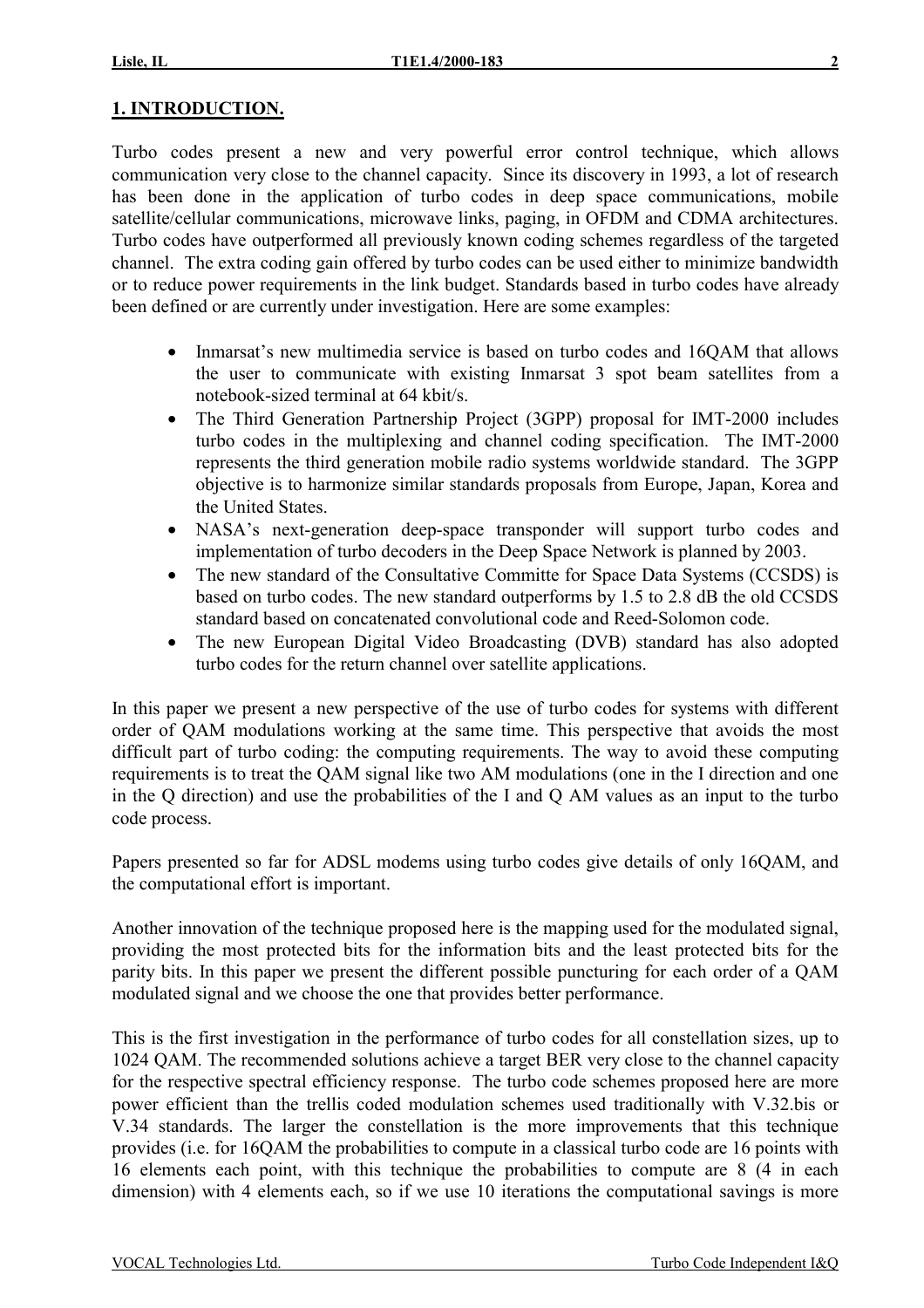# **1. INTRODUCTION.**

Turbo codes present a new and very powerful error control technique, which allows communication very close to the channel capacity. Since its discovery in 1993, a lot of research has been done in the application of turbo codes in deep space communications, mobile satellite/cellular communications, microwave links, paging, in OFDM and CDMA architectures. Turbo codes have outperformed all previously known coding schemes regardless of the targeted channel. The extra coding gain offered by turbo codes can be used either to minimize bandwidth or to reduce power requirements in the link budget. Standards based in turbo codes have already been defined or are currently under investigation. Here are some examples:

- Inmarsat's new multimedia service is based on turbo codes and 16OAM that allows the user to communicate with existing Inmarsat 3 spot beam satellites from a notebook-sized terminal at 64 kbit/s.
- The Third Generation Partnership Project (3GPP) proposal for IMT-2000 includes turbo codes in the multiplexing and channel coding specification. The IMT-2000 represents the third generation mobile radio systems worldwide standard. The 3GPP objective is to harmonize similar standards proposals from Europe, Japan, Korea and the United States.
- NASA's next-generation deep-space transponder will support turbo codes and implementation of turbo decoders in the Deep Space Network is planned by 2003.
- The new standard of the Consultative Committe for Space Data Systems (CCSDS) is based on turbo codes. The new standard outperforms by 1.5 to 2.8 dB the old CCSDS standard based on concatenated convolutional code and Reed-Solomon code.
- The new European Digital Video Broadcasting (DVB) standard has also adopted turbo codes for the return channel over satellite applications.

In this paper we present a new perspective of the use of turbo codes for systems with different order of QAM modulations working at the same time. This perspective that avoids the most difficult part of turbo coding: the computing requirements. The way to avoid these computing requirements is to treat the QAM signal like two AM modulations (one in the I direction and one in the Q direction) and use the probabilities of the I and Q AM values as an input to the turbo code process.

Papers presented so far for ADSL modems using turbo codes give details of only 16QAM, and the computational effort is important.

Another innovation of the technique proposed here is the mapping used for the modulated signal, providing the most protected bits for the information bits and the least protected bits for the parity bits. In this paper we present the different possible puncturing for each order of a QAM modulated signal and we choose the one that provides better performance.

This is the first investigation in the performance of turbo codes for all constellation sizes, up to 1024 QAM. The recommended solutions achieve a target BER very close to the channel capacity for the respective spectral efficiency response. The turbo code schemes proposed here are more power efficient than the trellis coded modulation schemes used traditionally with V.32.bis or V.34 standards. The larger the constellation is the more improvements that this technique provides (i.e. for 16QAM the probabilities to compute in a classical turbo code are 16 points with 16 elements each point, with this technique the probabilities to compute are 8 (4 in each dimension) with 4 elements each, so if we use 10 iterations the computational savings is more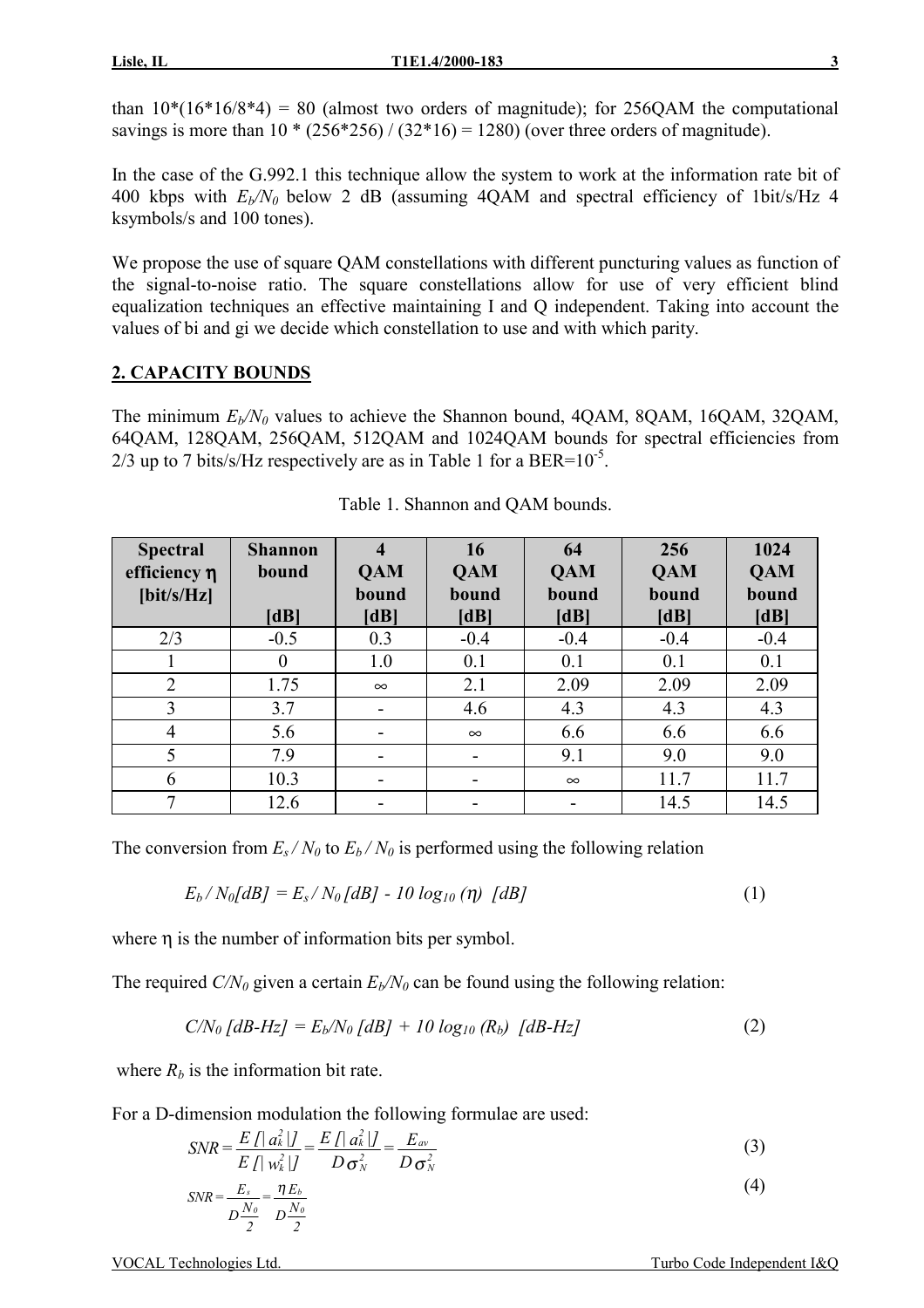than  $10*(16*16/8*4) = 80$  (almost two orders of magnitude); for 256QAM the computational savings is more than  $10 * (256 * 256) / (32 * 16) = 1280$  (over three orders of magnitude).

In the case of the G.992.1 this technique allow the system to work at the information rate bit of 400 kbps with  $E_{\nu}/N_0$  below 2 dB (assuming 4OAM and spectral efficiency of 1bit/s/Hz 4 ksymbols/s and 100 tones).

We propose the use of square QAM constellations with different puncturing values as function of the signal-to-noise ratio. The square constellations allow for use of very efficient blind equalization techniques an effective maintaining I and Q independent. Taking into account the values of bi and gi we decide which constellation to use and with which parity.

# **2. CAPACITY BOUNDS**

The minimum  $E_b/N_0$  values to achieve the Shannon bound, 4OAM, 8OAM, 16OAM, 32OAM, 64QAM, 128QAM, 256QAM, 512QAM and 1024QAM bounds for spectral efficiencies from  $2/3$  up to 7 bits/s/Hz respectively are as in Table 1 for a BER= $10^{-5}$ .

| <b>Spectral</b><br>efficiency $\eta$<br>$[\text{bit/s/Hz}]$ | <b>Shannon</b><br>bound<br>[dB] | $\overline{\mathbf{4}}$<br><b>QAM</b><br>bound<br>[dB] | 16<br><b>QAM</b><br>bound<br>[dB] | 64<br><b>QAM</b><br>bound<br>[dB] | 256<br><b>QAM</b><br>bound<br>[dB] | 1024<br><b>QAM</b><br>bound<br>[dB] |
|-------------------------------------------------------------|---------------------------------|--------------------------------------------------------|-----------------------------------|-----------------------------------|------------------------------------|-------------------------------------|
| 2/3                                                         | $-0.5$                          | 0.3                                                    | $-0.4$                            | $-0.4$                            | $-0.4$                             | $-0.4$                              |
|                                                             | $\theta$                        | 1.0                                                    | 0.1                               | 0.1                               | 0.1                                | 0.1                                 |
| $\overline{2}$                                              | 1.75                            | $\infty$                                               | 2.1                               | 2.09                              | 2.09                               | 2.09                                |
| 3                                                           | 3.7                             | $\overline{\phantom{a}}$                               | 4.6                               | 4.3                               | 4.3                                | 4.3                                 |
| 4                                                           | 5.6                             | $\overline{\phantom{a}}$                               | $\infty$                          | 6.6                               | 6.6                                | 6.6                                 |
| 5                                                           | 7.9                             | $\overline{\phantom{a}}$                               | $\overline{\phantom{a}}$          | 9.1                               | 9.0                                | 9.0                                 |
| 6                                                           | 10.3                            | $\overline{\phantom{a}}$                               | $\overline{\phantom{a}}$          | $\infty$                          | 11.7                               | 11.7                                |
|                                                             | 12.6                            |                                                        |                                   |                                   | 14.5                               | 14.5                                |

The conversion from  $E_s/N_0$  to  $E_b/N_0$  is performed using the following relation

$$
E_b/N_0[dB] = E_s/N_0[dB] - 10 \log_{10}(\eta) \, [dB]
$$
 (1)

where  $\eta$  is the number of information bits per symbol.

The required  $C/N_0$  given a certain  $E_b/N_0$  can be found using the following relation:

$$
C/N_0 [dB-Hz] = E_b/N_0 [dB] + 10 log_{10} (R_b) [dB-Hz]
$$
 (2)

where  $R_b$  is the information bit rate.

For a D-dimension modulation the following formulae are used:

$$
SNR = \frac{E \int |a_k^2|}{E \int |w_k^2|} = \frac{E \int |a_k^2|}{D \sigma_N^2} = \frac{E_{av}}{D \sigma_N^2}
$$
(3)

$$
SNR = \frac{E_s}{D\frac{N_o}{2}} = \frac{\eta E_b}{D\frac{N_o}{2}}
$$
(4)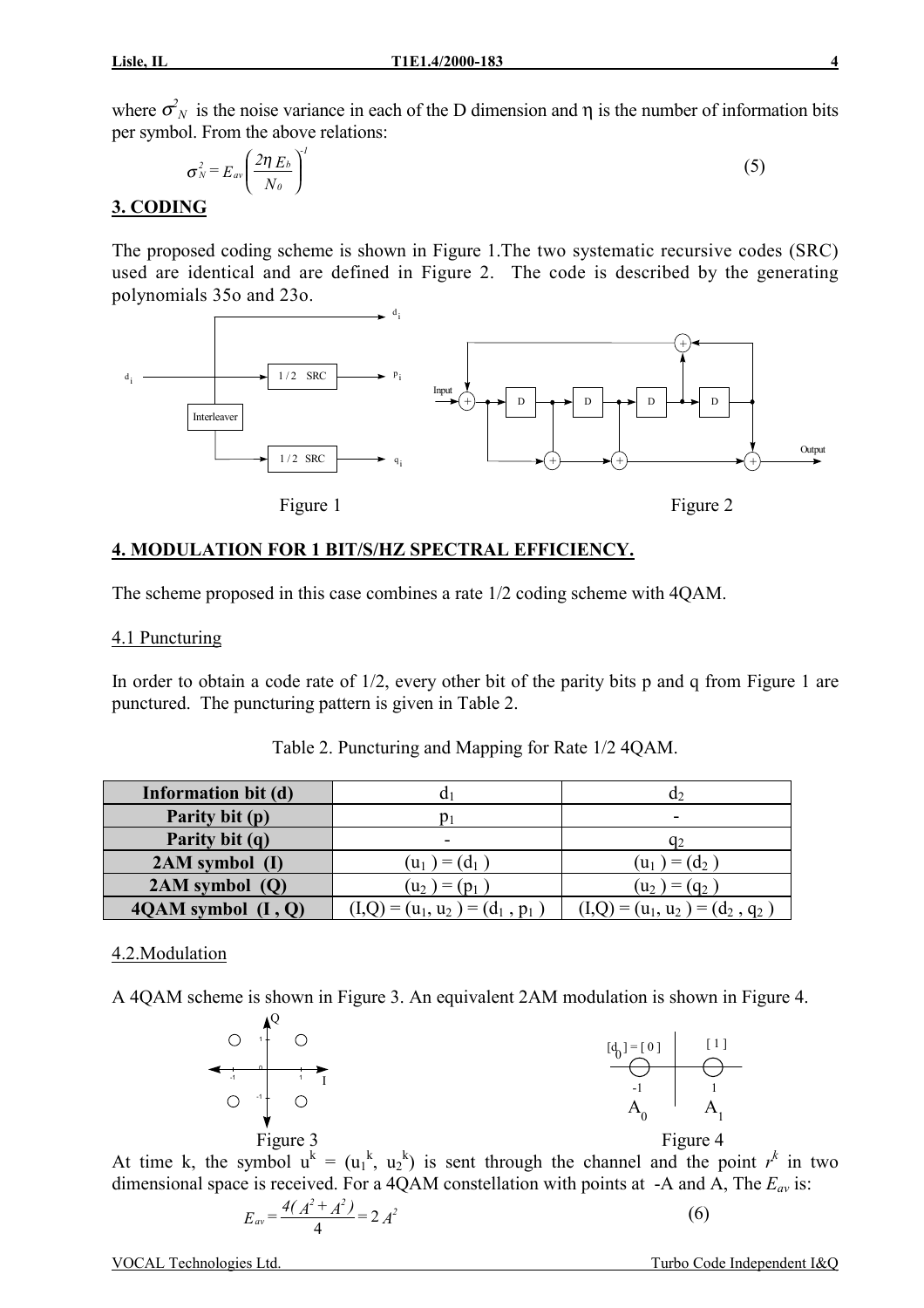where  $\sigma_N^2$  is the noise variance in each of the D dimension and  $\eta$  is the number of information bits per symbol. From the above relations:

$$
\sigma_N^2 = E_{av} \left( \frac{2 \eta E_b}{N_o} \right)^l \tag{5}
$$

### **3. CODING**

The proposed coding scheme is shown in Figure 1.The two systematic recursive codes (SRC) used are identical and are defined in Figure 2. The code is described by the generating polynomials 35o and 23o.



# **4. MODULATION FOR 1 BIT/S/HZ SPECTRAL EFFICIENCY.**

The scheme proposed in this case combines a rate 1/2 coding scheme with 4QAM.

#### 4.1 Puncturing

In order to obtain a code rate of 1/2, every other bit of the parity bits p and q from Figure 1 are punctured. The puncturing pattern is given in Table 2.

| Information bit (d)    |                                   | Œ.                                |
|------------------------|-----------------------------------|-----------------------------------|
| Parity bit (p)         |                                   | ۰                                 |
| Parity bit (q)         | -                                 | $q_2$                             |
| 2AM symbol (I)         | $(u_1) = (d_1)$                   | $(u_1) = (d_2)$                   |
| $2AM$ symbol $(Q)$     | $(u_2) = (p_1)$                   | $(u_2) = (q_2)$                   |
| $4QAM$ symbol $(I, Q)$ | $(I,Q) = (u_1, u_2) = (d_1, p_1)$ | $(I,Q) = (u_1, u_2) = (d_2, q_2)$ |

Table 2. Puncturing and Mapping for Rate 1/2 4QAM.

#### 4.2.Modulation

A 4QAM scheme is shown in Figure 3. An equivalent 2AM modulation is shown in Figure 4.



At time k, the symbol  $u^k = (u_1^k, u_2^k)$  is sent through the channel and the point  $r^k$  in two dimensional space is received. For a 4QAM constellation with points at  $-A$  and A, The  $E_{av}$  is:

$$
E_{av} = \frac{4(A^2 + A^2)}{4} = 2 A^2
$$
 (6)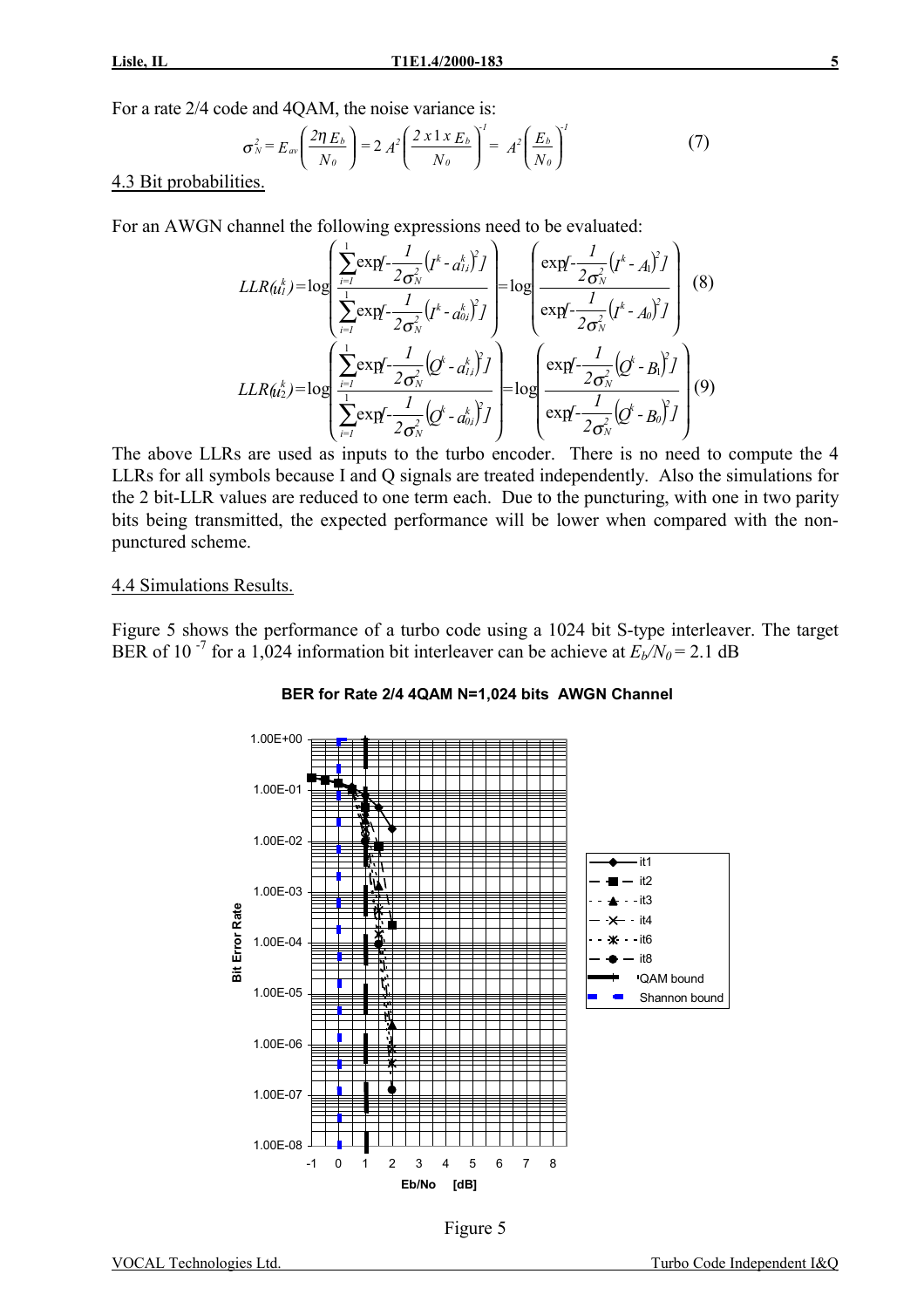For a rate 2/4 code and 4QAM, the noise variance is:

$$
\sigma_N^2 = E_{av} \left( \frac{2\eta E_b}{N_o} \right) = 2 A^2 \left( \frac{2 \times 1 \times E_b}{N_o} \right)^1 = A^2 \left( \frac{E_b}{N_o} \right)^1 \tag{7}
$$

4.3 Bit probabilities.

For an AWGN channel the following expressions need to be evaluated:

$$
LLR(\mathbf{u}_{i}^{k}) = \log \left( \frac{\sum_{i=1}^{1} \exp\left(-\frac{1}{2\sigma_{N}^{2}}\left(\mathbf{I}^{k} - \mathbf{a}_{i}^{k}\right)^{2}\right)}{\sum_{i=1}^{1} \exp\left(-\frac{1}{2\sigma_{N}^{2}}\left(\mathbf{I}^{k} - \mathbf{a}_{0i}^{k}\right)^{2}\right)}\right) = \log \left( \frac{\exp\left(-\frac{1}{2\sigma_{N}^{2}}\left(\mathbf{I}^{k} - \mathbf{A}_{i}\right)^{2}\right)}{\exp\left(-\frac{1}{2\sigma_{N}^{2}}\left(\mathbf{I}^{k} - \mathbf{A}_{0}\right)^{2}\right)}\right) (8)
$$
\n
$$
LLR(\mathbf{u}_{i}^{k}) = \log \left( \frac{\sum_{i=1}^{1} \exp\left(-\frac{1}{2\sigma_{N}^{2}}\left(\mathbf{Q}^{k} - \mathbf{a}_{i}^{k}\right)^{2}\right)}{\sum_{i=1}^{1} \exp\left(-\frac{1}{2\sigma_{N}^{2}}\left(\mathbf{Q}^{k} - \mathbf{a}_{0i}^{k}\right)^{2}\right)}\right) = \log \left( \frac{\exp\left(-\frac{1}{2\sigma_{N}^{2}}\left(\mathbf{Q}^{k} - \mathbf{A}_{0}\right)^{2}\right)}{\exp\left(-\frac{1}{2\sigma_{N}^{2}}\left(\mathbf{Q}^{k} - \mathbf{B}_{0}\right)^{2}\right)}\right) (9)
$$

The above LLRs are used as inputs to the turbo encoder. There is no need to compute the 4 LLRs for all symbols because I and Q signals are treated independently. Also the simulations for the 2 bit-LLR values are reduced to one term each. Due to the puncturing, with one in two parity bits being transmitted, the expected performance will be lower when compared with the nonpunctured scheme.

#### 4.4 Simulations Results.

Figure 5 shows the performance of a turbo code using a 1024 bit S-type interleaver. The target BER of 10<sup>-7</sup> for a 1,024 information bit interleaver can be achieve at  $E_b/N_0 = 2.1$  dB



#### **BER for Rate 2/4 4QAM N=1,024 bits AWGN Channel**

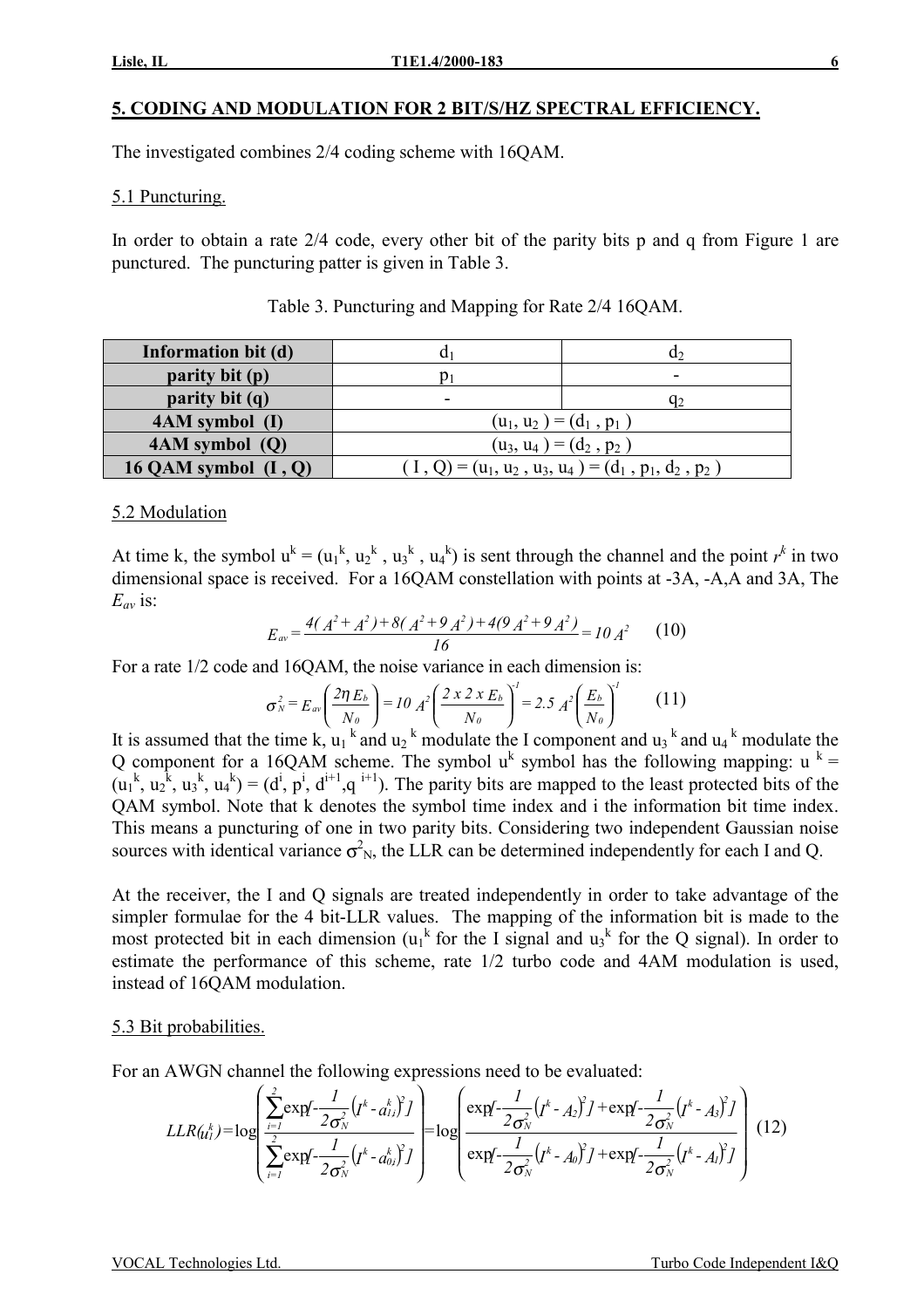# **5. CODING AND MODULATION FOR 2 BIT/S/HZ SPECTRAL EFFICIENCY.**

The investigated combines 2/4 coding scheme with 16QAM.

5.1 Puncturing.

In order to obtain a rate 2/4 code, every other bit of the parity bits p and q from Figure 1 are punctured. The puncturing patter is given in Table 3.

| Information bit (d)    |                           | u۶                                                     |  |  |  |  |  |
|------------------------|---------------------------|--------------------------------------------------------|--|--|--|--|--|
| parity bit (p)         |                           | $\overline{\phantom{0}}$                               |  |  |  |  |  |
| parity bit (q)         | -                         | <u>Ч2</u>                                              |  |  |  |  |  |
| 4AM symbol (I)         |                           | $(u_1, u_2) = (d_1, p_1)$                              |  |  |  |  |  |
| 4AM symbol (Q)         | $(u_3, u_4) = (d_2, p_2)$ |                                                        |  |  |  |  |  |
| 16 QAM symbol $(I, Q)$ |                           | $(1, Q) = (u_1, u_2, u_3, u_4) = (d_1, p_1, d_2, p_2)$ |  |  |  |  |  |

Table 3. Puncturing and Mapping for Rate 2/4 16QAM.

#### 5.2 Modulation

At time k, the symbol  $u^k = (u_1^k, u_2^k, u_3^k, u_4^k)$  is sent through the channel and the point  $r^k$  in two dimensional space is received. For a 16QAM constellation with points at -3A, -A,A and 3A, The  $E_{av}$  is:

$$
E_{av} = \frac{4(A^2 + A^2) + 8(A^2 + 9A^2) + 4(9A^2 + 9A^2)}{16} = 10A^2
$$
 (10)

For a rate 1/2 code and 16QAM, the noise variance in each dimension is:

$$
\sigma_N^2 = E_{av} \left( \frac{2 \eta E_b}{N_0} \right) = 10 A^2 \left( \frac{2 \times 2 \times E_b}{N_0} \right)^1 = 2.5 A^2 \left( \frac{E_b}{N_0} \right)^1 \tag{11}
$$

It is assumed that the time k,  $u_1^k$  and  $u_2^k$  modulate the I component and  $u_3^k$  and  $u_4^k$  modulate the Q component for a 16QAM scheme. The symbol  $u^k$  symbol has the following mapping:  $u^k =$  $(u_1^k, u_2^k, u_3^k, u_4^k) = (d^i, p^i, d^{i+1}, q^{i+1})$ . The parity bits are mapped to the least protected bits of the QAM symbol. Note that k denotes the symbol time index and i the information bit time index. This means a puncturing of one in two parity bits. Considering two independent Gaussian noise sources with identical variance  $\sigma_{N}^2$ , the LLR can be determined independently for each I and Q.

At the receiver, the I and Q signals are treated independently in order to take advantage of the simpler formulae for the 4 bit-LLR values. The mapping of the information bit is made to the most protected bit in each dimension  $(u_1^k$  for the I signal and  $u_3^k$  for the Q signal). In order to estimate the performance of this scheme, rate 1/2 turbo code and 4AM modulation is used, instead of 16QAM modulation.

#### 5.3 Bit probabilities.

For an AWGN channel the following expressions need to be evaluated:

$$
LLR(\mu_I^k) = \log \left( \frac{\sum_{i=1}^2 \exp(-\frac{1}{2\sigma_N^2} (I^k - a_{1i}^k)^2)}{\sum_{i=1}^2 \exp(-\frac{1}{2\sigma_N^2} (I^k - a_{0i}^k)^2)} \right) = \log \left( \frac{\exp(-\frac{1}{2\sigma_N^2} (I^k - A_2)^2) + \exp(-\frac{1}{2\sigma_N^2} (I^k - A_3)^2)}{\exp(-\frac{1}{2\sigma_N^2} (I^k - A_0)^2) + \exp(-\frac{1}{2\sigma_N^2} (I^k - A_1)^2)} \right)
$$
(12)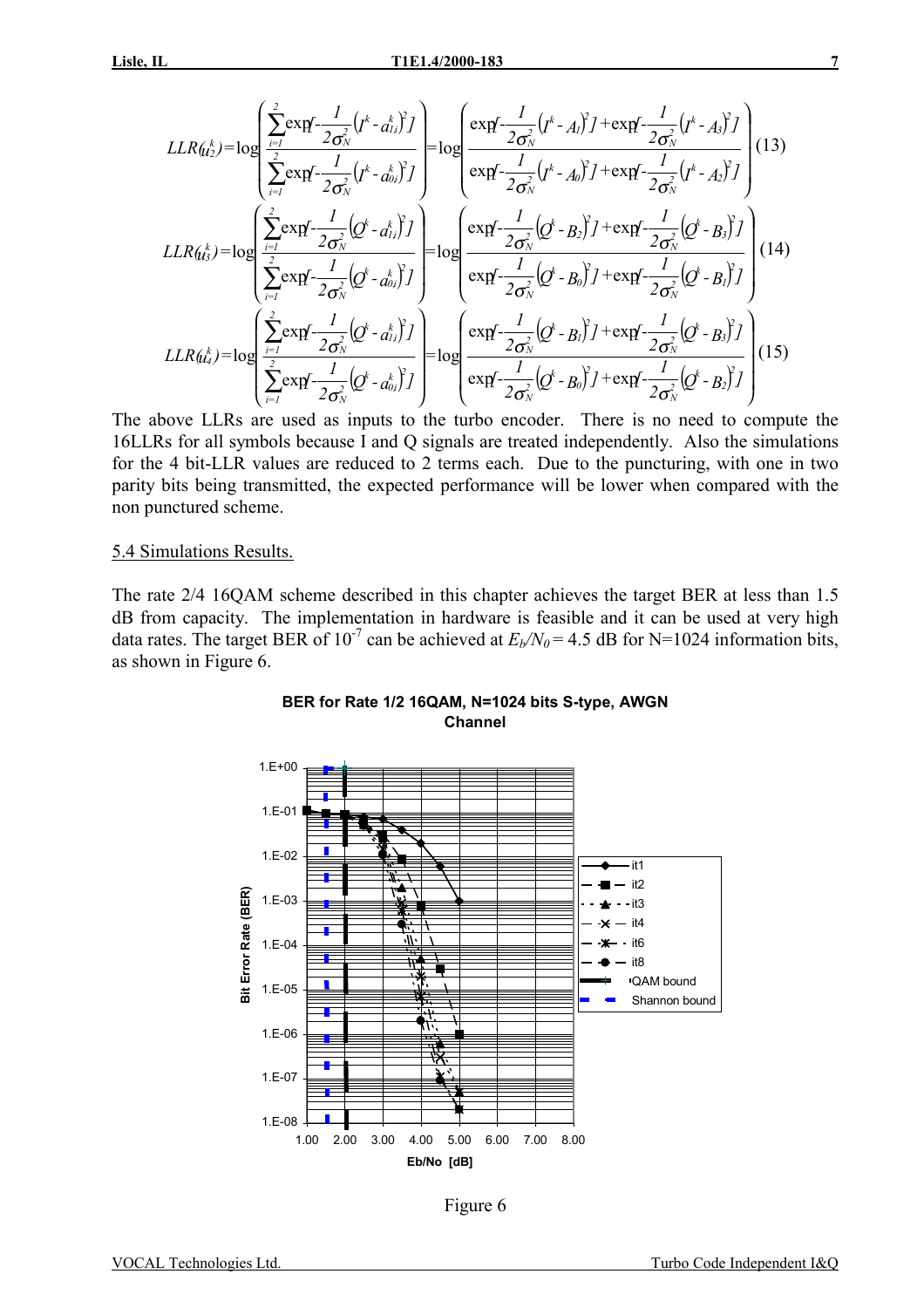$$
LLR(h_{2}^{k}) = \log \left( \frac{\sum_{i=1}^{2} \exp \left(-\frac{1}{2\sigma_{N}^{2}} \left(p^{k} - a_{i,j}^{k}\right)\right)}{\sum_{i=1}^{2} \exp \left(-\frac{1}{2\sigma_{N}^{2}} \left(p^{k} - a_{0,j}^{k}\right)\right)}\right) = \log \left( \frac{\exp \left(-\frac{1}{2\sigma_{N}^{2}} \left(p^{k} - A_{i}\right)\right) + \exp \left(-\frac{1}{2\sigma_{N}^{2}} \left(p^{k} - A_{i}\right)\right)\right)}{\exp \left(-\frac{1}{2\sigma_{N}^{2}} \left(p^{k} - A_{0}\right)\right) + \exp \left(-\frac{1}{2\sigma_{N}^{2}} \left(p^{k} - A_{2}\right)\right)\right)}\right)
$$
(13)  
\n
$$
LLR(h_{2}^{k}) = \log \left( \frac{\sum_{i=1}^{2} \exp \left(-\frac{1}{2\sigma_{N}^{2}} \left(p^{k} - a_{i,j}^{k}\right)\right)}{\sum_{i=1}^{2} \exp \left(-\frac{1}{2\sigma_{N}^{2}} \left(p^{k} - a_{0,i}^{k}\right)\right)}\right) = \log \left( \frac{\exp \left(-\frac{1}{2\sigma_{N}^{2}} \left(p^{k} - B_{2}\right)\right) + \exp \left(-\frac{1}{2\sigma_{N}^{2}} \left(p^{k} - B_{3}\right)\right)\right)}{\exp \left(-\frac{1}{2\sigma_{N}^{2}} \left(p^{k} - B_{0}\right)\right) + \exp \left(-\frac{1}{2\sigma_{N}^{2}} \left(p^{k} - B_{1}\right)\right)\right)}\right)
$$
(14)  
\n
$$
LLR(h_{4}^{k}) = \log \left( \frac{\sum_{i=1}^{2} \exp \left(-\frac{1}{2\sigma_{N}^{2}} \left(p^{k} - a_{0,i}^{k}\right)\right)}{\sum_{i=1}^{2} \exp \left(-\frac{1}{2\sigma_{N}^{2}} \left(p^{k} - B_{0}\right)\right) + \exp \left(-\frac{1}{2\sigma_{N}^{2}} \left(p^{k} - B_{2}\right)\right)\right)
$$
(15)  
\n
$$
\left( \sum_{i=1}^{2} \exp \left(-\frac{1}{2\sigma_{N}^{2}} \left
$$

The above LLRs are used as inputs to the turbo encoder. There is no need to compute the 16LLRs for all symbols because I and Q signals are treated independently. Also the simulations for the 4 bit-LLR values are reduced to 2 terms each. Due to the puncturing, with one in two parity bits being transmitted, the expected performance will be lower when compared with the non punctured scheme.

#### 5.4 Simulations Results.

The rate 2/4 16QAM scheme described in this chapter achieves the target BER at less than 1.5 dB from capacity. The implementation in hardware is feasible and it can be used at very high data rates. The target BER of 10<sup>-7</sup> can be achieved at  $E_b/N_0$  = 4.5 dB for N=1024 information bits, as shown in Figure 6.





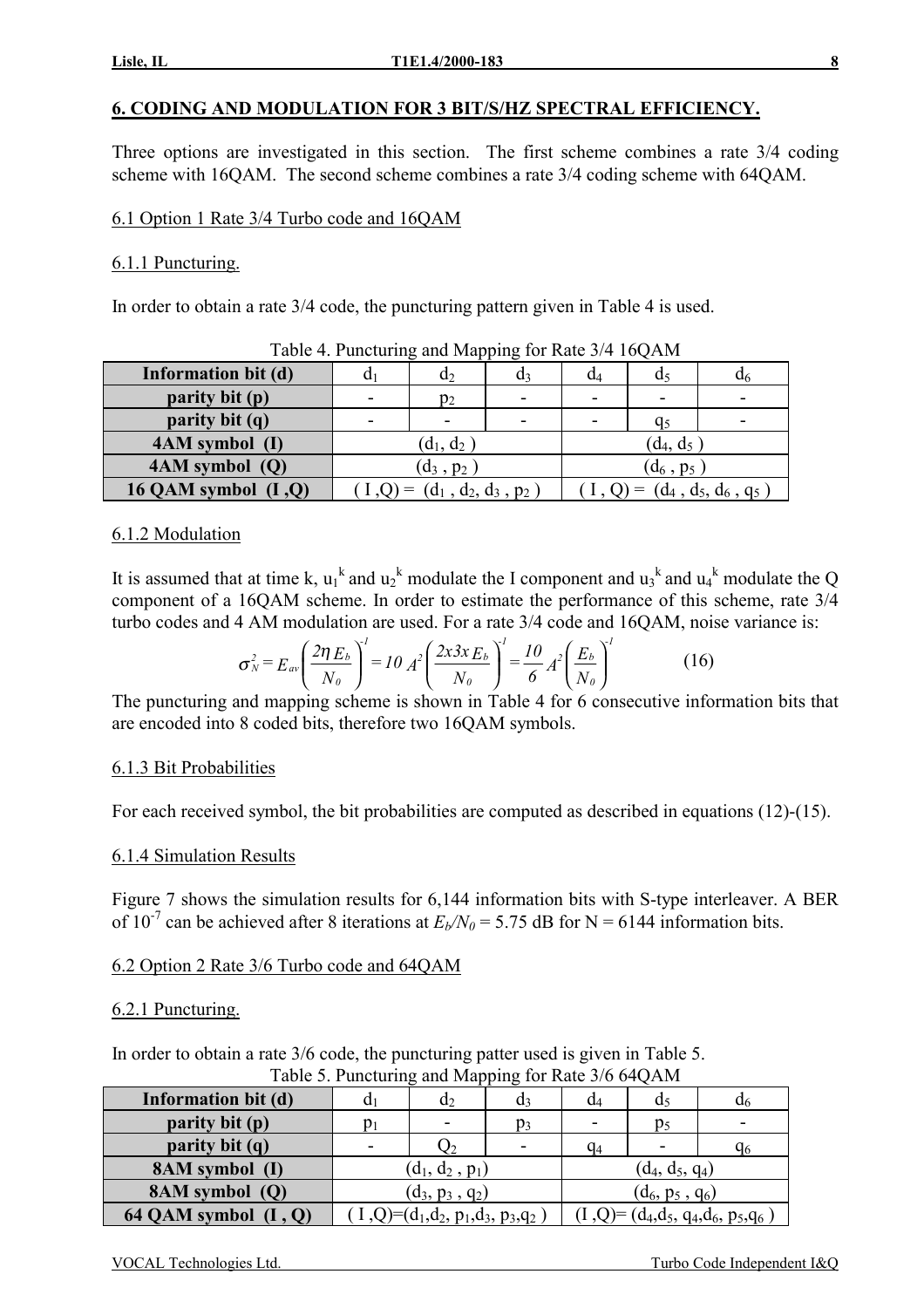# **6. CODING AND MODULATION FOR 3 BIT/S/HZ SPECTRAL EFFICIENCY.**

Three options are investigated in this section. The first scheme combines a rate 3/4 coding scheme with 16QAM. The second scheme combines a rate 3/4 coding scheme with 64QAM.

### 6.1 Option 1 Rate 3/4 Turbo code and 16QAM

### 6.1.1 Puncturing.

In order to obtain a rate 3/4 code, the puncturing pattern given in Table 4 is used.

| Information bit (d)    | Q1    | $d_2$                                                    | d٩ | a4           | d, | U6                              |  |  |  |  |  |
|------------------------|-------|----------------------------------------------------------|----|--------------|----|---------------------------------|--|--|--|--|--|
| parity bit (p)         | $p_2$ |                                                          |    |              |    |                                 |  |  |  |  |  |
| parity bit (q)         |       | -                                                        |    | -            | a٢ |                                 |  |  |  |  |  |
| 4AM symbol (I)         |       | $(\boldsymbol{\mathsf{d}}_1, \boldsymbol{\mathsf{d}}_2)$ |    | $(d_4, d_5)$ |    |                                 |  |  |  |  |  |
| $4AM$ symbol $(Q)$     |       | $(d_3, p_2)$                                             |    | $(d_6, p_5)$ |    |                                 |  |  |  |  |  |
| 16 QAM symbol $(I, Q)$ |       | $(I,Q) = (d_1, d_2, d_3, p_2)$                           |    |              |    | $(1, Q) = (d_4, d_5, d_6, q_5)$ |  |  |  |  |  |

Table 4. Puncturing and Mapping for Rate 3/4 16OAM

### 6.1.2 Modulation

It is assumed that at time k,  $u_1^k$  and  $u_2^k$  modulate the I component and  $u_3^k$  and  $u_4^k$  modulate the Q component of a 16QAM scheme. In order to estimate the performance of this scheme, rate 3/4 turbo codes and 4 AM modulation are used. For a rate 3/4 code and 16QAM, noise variance is:

$$
\sigma_N^2 = E_{av} \left( \frac{2 \eta E_b}{N_o} \right)^l = I0 \ A^2 \left( \frac{2 x 3 x E_b}{N_o} \right)^l = \frac{I0}{6} A^2 \left( \frac{E_b}{N_o} \right)^l \tag{16}
$$

The puncturing and mapping scheme is shown in Table 4 for 6 consecutive information bits that are encoded into 8 coded bits, therefore two 16QAM symbols.

#### 6.1.3 Bit Probabilities

For each received symbol, the bit probabilities are computed as described in equations (12)-(15).

#### 6.1.4 Simulation Results

Figure 7 shows the simulation results for 6,144 information bits with S-type interleaver. A BER of 10<sup>-7</sup> can be achieved after 8 iterations at  $E_b/N_0 = 5.75$  dB for N = 6144 information bits.

# 6.2 Option 2 Rate 3/6 Turbo code and 64QAM

#### 6.2.1 Puncturing.

In order to obtain a rate 3/6 code, the puncturing patter used is given in Table 5.

Table 5. Puncturing and Mapping for Rate 3/6 64QAM **Information bit (d)**  $d_1$  d<sub>2</sub> d<sub>3</sub> d<sub>3</sub> d<sub>4</sub> d<sub>5</sub> d<sub>6</sub> d<sub>6</sub> **parity bit (p)**  $p_1$   $p_2$   $p_3$   $p_4$   $p_5$ **parity bit (q)**  $\qquad$   $\qquad$   $\qquad$   $\qquad$   $\qquad$   $\qquad$   $\qquad$   $\qquad$   $\qquad$   $\qquad$   $\qquad$   $\qquad$   $\qquad$   $\qquad$   $\qquad$   $\qquad$   $\qquad$   $\qquad$   $\qquad$   $\qquad$   $\qquad$   $\qquad$   $\qquad$   $\qquad$   $\qquad$   $\qquad$   $\qquad$   $\qquad$   $\qquad$   $\qquad$   $\qquad$   $\qquad$   $\qquad$   $\qquad$  **8AM symbol (I)**  $(d_1, d_2, p_1)$   $(d_4, d_5, q_4)$ **8AM symbol (Q)**  $(d_3, p_3, q_2)$   $(d_6, p_5, q_6)$ **64 QAM symbol (I, Q)**  $\begin{pmatrix} 1 & 0 \\ 0 & 1 \end{pmatrix} = (d_1, d_2, p_1, d_3, p_3, q_2)$   $\begin{pmatrix} 1 & 0 \\ 0 & 1 \end{pmatrix} = (d_4, d_5, q_4, d_6, p_5, q_6)$ 

|  | CAL Technologies Ltd |  |  |
|--|----------------------|--|--|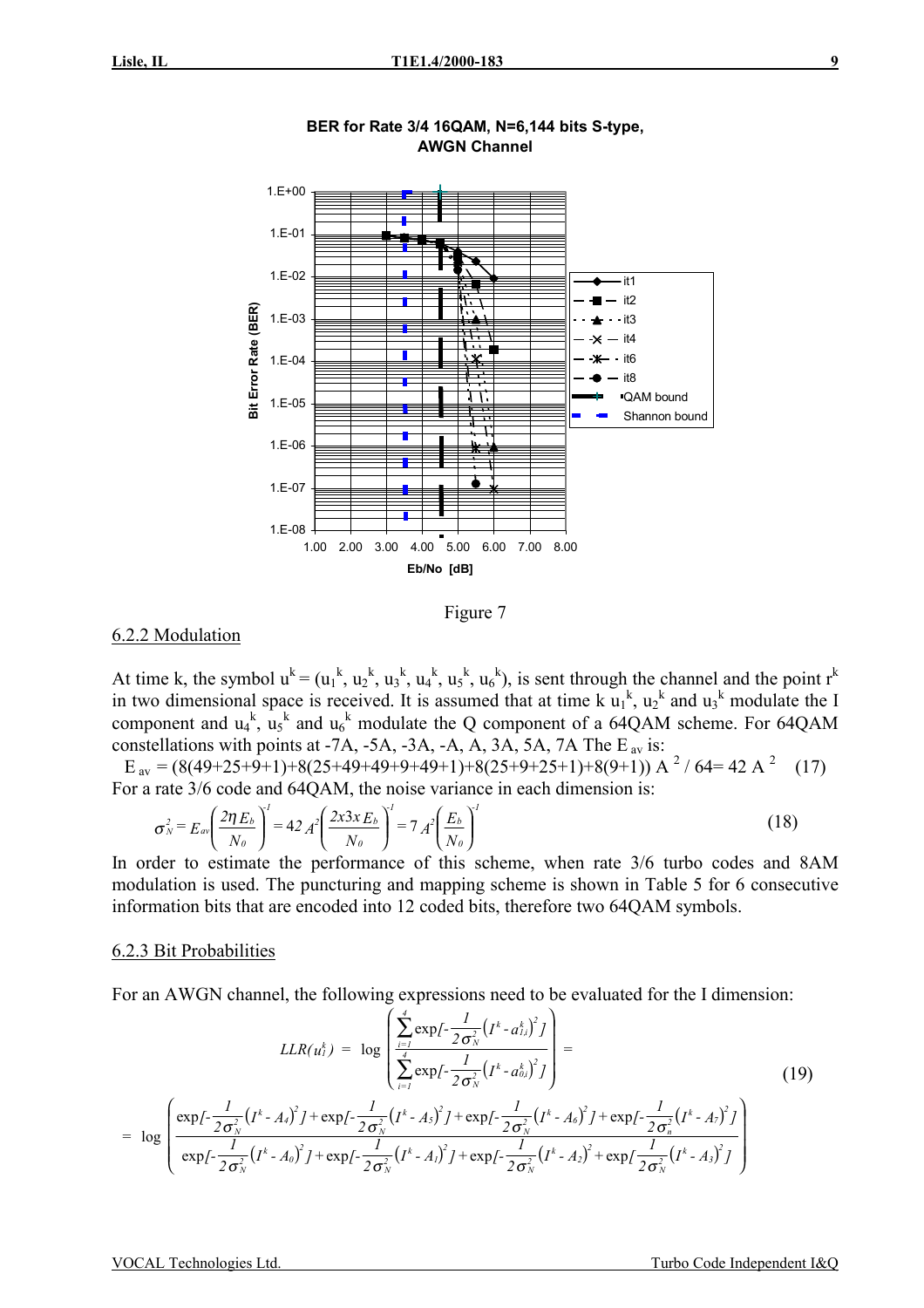

**BER for Rate 3/4 16QAM, N=6,144 bits S-type, AWGN Channel**

Figure 7

### 6.2.2 Modulation

At time k, the symbol  $u^k = (u_1^k, u_2^k, u_3^k, u_4^k, u_5^k, u_6^k)$ , is sent through the channel and the point  $r^k$ in two dimensional space is received. It is assumed that at time  $k u_1^k$ ,  $u_2^k$  and  $u_3^k$  modulate the I component and  $u_4^k$ ,  $u_5^k$  and  $u_6^k$  modulate the Q component of a 64QAM scheme. For 64QAM constellations with points at -7A, -5A, -3A, -A,  $\overline{A}$ ,  $\overline{3A}$ ,  $\overline{5A}$ ,  $\overline{7A}$  The E<sub>av</sub> is:

 $E_{av} = (8(49+25+9+1)+8(25+49+49+9+49+1)+8(25+9+25+1)+8(9+1))$  A <sup>2</sup> / 64= 42 A <sup>2</sup> (17) For a rate 3/6 code and 64QAM, the noise variance in each dimension is:

$$
\sigma_N^2 = E_{av} \left( \frac{2 \eta E_b}{N_o} \right)^1 = 42 A^2 \left( \frac{2x 3x E_b}{N_o} \right)^1 = 7 A^2 \left( \frac{E_b}{N_o} \right)^1 \tag{18}
$$

In order to estimate the performance of this scheme, when rate 3/6 turbo codes and 8AM modulation is used. The puncturing and mapping scheme is shown in Table 5 for 6 consecutive information bits that are encoded into 12 coded bits, therefore two 64QAM symbols.

#### 6.2.3 Bit Probabilities

For an AWGN channel, the following expressions need to be evaluated for the I dimension:

$$
LLR(u_l^k) = \log \left( \frac{\sum_{i=1}^4 \exp\{-\frac{1}{2\sigma_N^2} (I^k - a_{l,i}^k)^2 J\}}{\sum_{i=1}^4 \exp\{-\frac{1}{2\sigma_N^2} (I^k - a_{0,i}^k)^2 J\}} \right) =
$$
\n
$$
= \log \left( \frac{\exp\{-\frac{1}{2\sigma_N^2} (I^k - A_i)^2 J + \exp\{-\frac{1}{2\sigma_N^2} (I^k - A_5)^2 J + \exp\{-\frac{1}{2\sigma_N^2} (I^k - A_6)^2 J + \exp\{-\frac{1}{2\sigma_N^2} (I^k - A_7)^2 J\}} \right)
$$
\n
$$
= \log \left( \frac{\exp\{-\frac{1}{2\sigma_N^2} (I^k - A_i)^2 J + \exp\{-\frac{1}{2\sigma_N^2} (I^k - A_1)^2 J + \exp\{-\frac{1}{2\sigma_N^2} (I^k - A_2)^2 + \exp\{-\frac{1}{2\sigma_N^2} (I^k - A_3)^2 J\}} \right)
$$
\n
$$
(19)
$$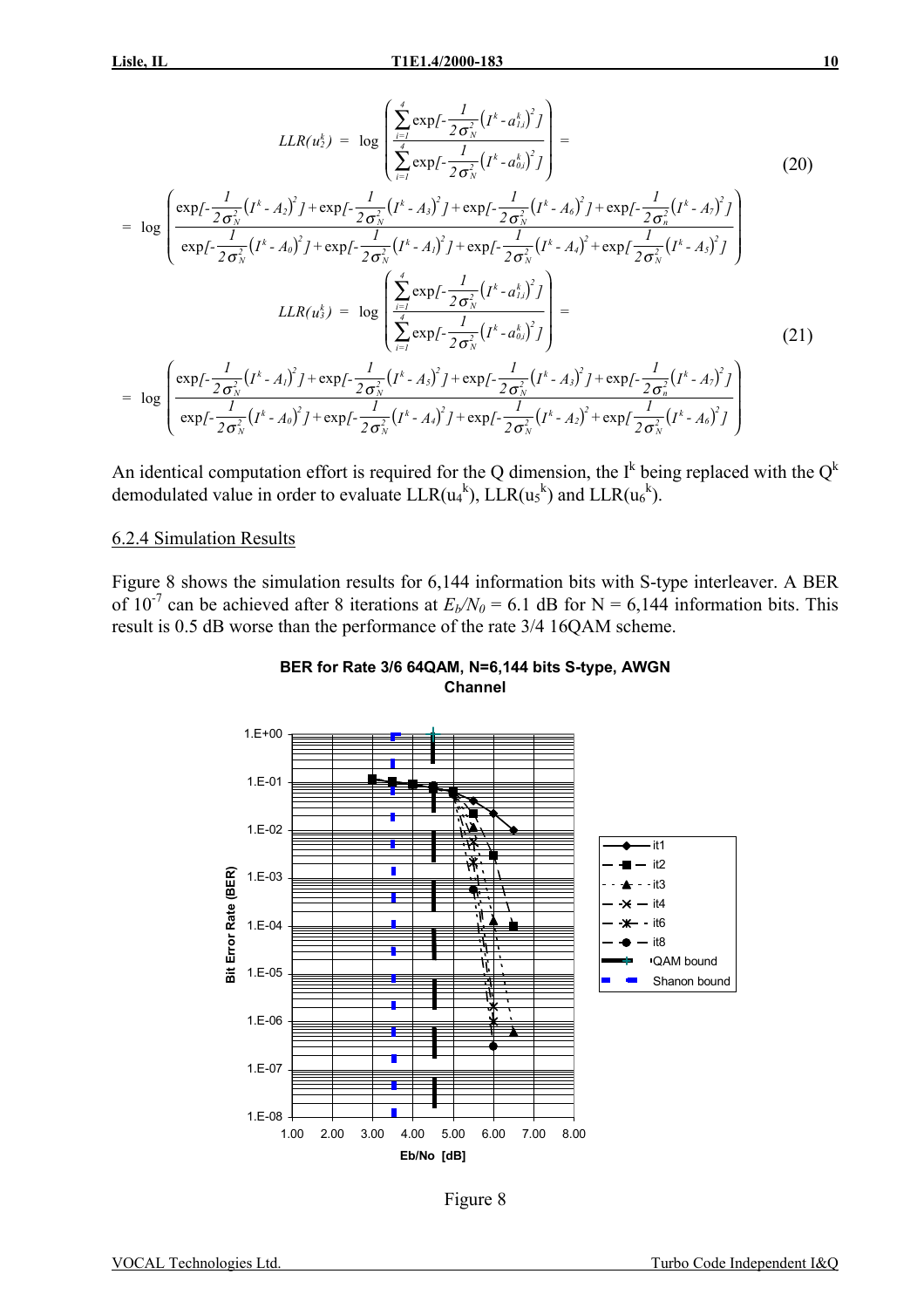$$
LLR(u_2^k) = \log \left( \frac{\sum_{i=1}^4 \exp\{-\frac{1}{2\sigma_N^2} (I^k - a_{i\lambda}^k)^2\}}{\sum_{i=1}^4 \exp\{-\frac{1}{2\sigma_N^2} (I^k - a_{0\lambda}^k)^2\}} \right) =
$$
\n
$$
= \log \left( \frac{\exp\{-\frac{1}{2\sigma_N^2} (I^k - A_2)^2\} + \exp\{-\frac{1}{2\sigma_N^2} (I^k - A_3)^2\} + \exp\{-\frac{1}{2\sigma_N^2} (I^k - A_6)^2\} + \exp\{-\frac{1}{2\sigma_N^2} (I^k - A_7)^2\}}{\exp\{-\frac{1}{2\sigma_N^2} (I^k - A_0)^2\} + \exp\{-\frac{1}{2\sigma_N^2} (I^k - A_1)^2\} + \exp\{-\frac{1}{2\sigma_N^2} (I^k - A_3)^2\}} \right)
$$
\n
$$
LLR(u_3^k) = \log \left( \frac{\sum_{i=1}^4 \exp\{-\frac{1}{2\sigma_N^2} (I^k - a_{i\lambda}^k)^2\}}{\sum_{i=1}^4 \exp\{-\frac{1}{2\sigma_N^2} (I^k - a_{0\lambda}^k)^2\}} \right) =
$$
\n
$$
= \log \left( \frac{\exp\{-\frac{1}{2\sigma_N^2} (I^k - A_1)^2\} + \exp\{-\frac{1}{2\sigma_N^2} (I^k - A_3)^2\} + \exp\{-\frac{1}{2\sigma_N^2} (I^k - A_3)^2\} + \exp\{-\frac{1}{2\sigma_N^2} (I^k - A_7)^2\}} \right)
$$
\n
$$
(21)
$$
\n
$$
= \log \left( \frac{\exp\{-\frac{1}{2\sigma_N^2} (I^k - A_0)^2\} + \exp\{-\frac{1}{2\sigma_N^2} (I^k - A_4)^2\} + \exp\{-\frac{1}{2\sigma_N^2} (I^k - A_2)^2\} + \exp\{-\frac{1}{2\sigma_N^2} (I^k - A_6)^2\}} \right)
$$

An identical computation effort is required for the Q dimension, the I<sup>k</sup> being replaced with the  $Q^k$ demodulated value in order to evaluate  $LLR(u_4^k)$ ,  $LLR(u_5^k)$  and  $LLR(u_6^k)$ .

#### 6.2.4 Simulation Results

Figure 8 shows the simulation results for 6,144 information bits with S-type interleaver. A BER of  $10^{-7}$  can be achieved after 8 iterations at  $E_b/N_0 = 6.1$  dB for N = 6,144 information bits. This result is 0.5 dB worse than the performance of the rate 3/4 16QAM scheme.





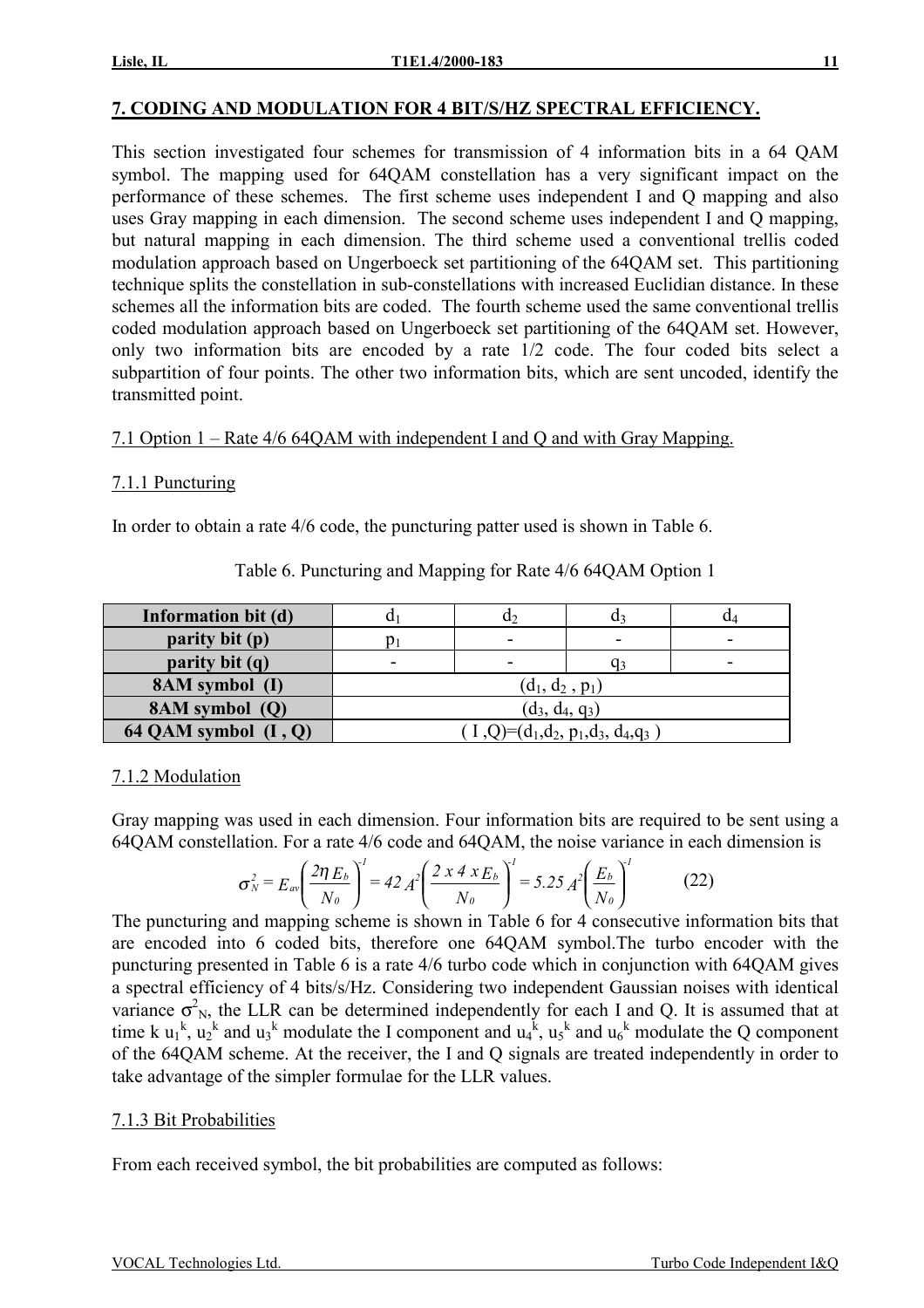# **7. CODING AND MODULATION FOR 4 BIT/S/HZ SPECTRAL EFFICIENCY.**

This section investigated four schemes for transmission of 4 information bits in a 64 QAM symbol. The mapping used for 64QAM constellation has a very significant impact on the performance of these schemes. The first scheme uses independent I and Q mapping and also uses Gray mapping in each dimension. The second scheme uses independent I and Q mapping, but natural mapping in each dimension. The third scheme used a conventional trellis coded modulation approach based on Ungerboeck set partitioning of the 64QAM set. This partitioning technique splits the constellation in sub-constellations with increased Euclidian distance. In these schemes all the information bits are coded. The fourth scheme used the same conventional trellis coded modulation approach based on Ungerboeck set partitioning of the 64QAM set. However, only two information bits are encoded by a rate 1/2 code. The four coded bits select a subpartition of four points. The other two information bits, which are sent uncoded, identify the transmitted point.

7.1 Option 1 – Rate 4/6 64QAM with independent I and Q and with Gray Mapping.

# 7.1.1 Puncturing

In order to obtain a rate 4/6 code, the puncturing patter used is shown in Table 6.

| Information bit (d)    |                   | $\mathbf{u}_2$                    | u٩ | U4 |  |  |  |  |  |
|------------------------|-------------------|-----------------------------------|----|----|--|--|--|--|--|
| parity bit (p)         |                   | -                                 |    |    |  |  |  |  |  |
| parity bit (q)         | -                 |                                   | Ч3 |    |  |  |  |  |  |
| 8AM symbol (I)         |                   | $(d_1, d_2, p_1)$                 |    |    |  |  |  |  |  |
| 8AM symbol (Q)         | $(d_3, d_4, q_3)$ |                                   |    |    |  |  |  |  |  |
| 64 QAM symbol $(I, Q)$ |                   | $(I,Q)=(d_1,d_2,p_1,d_3,d_4,q_3)$ |    |    |  |  |  |  |  |

### Table 6. Puncturing and Mapping for Rate 4/6 64QAM Option 1

# 7.1.2 Modulation

Gray mapping was used in each dimension. Four information bits are required to be sent using a 64QAM constellation. For a rate 4/6 code and 64QAM, the noise variance in each dimension is

$$
\sigma_N^2 = E_{av} \left( \frac{2 \eta E_b}{N_o} \right)^l = 42 A^2 \left( \frac{2 x 4 x E_b}{N_o} \right)^l = 5.25 A^2 \left( \frac{E_b}{N_o} \right)^l \tag{22}
$$

The puncturing and mapping scheme is shown in Table 6 for 4 consecutive information bits that are encoded into 6 coded bits, therefore one 64QAM symbol.The turbo encoder with the puncturing presented in Table 6 is a rate 4/6 turbo code which in conjunction with 64QAM gives a spectral efficiency of 4 bits/s/Hz. Considering two independent Gaussian noises with identical variance  $\sigma_{N}^2$ , the LLR can be determined independently for each I and Q. It is assumed that at time k  $u_1^k$ ,  $u_2^k$  and  $u_3^k$  modulate the I component and  $u_4^k$ ,  $u_5^k$  and  $u_6^k$  modulate the Q component of the 64QAM scheme. At the receiver, the I and Q signals are treated independently in order to take advantage of the simpler formulae for the LLR values.

# 7.1.3 Bit Probabilities

From each received symbol, the bit probabilities are computed as follows: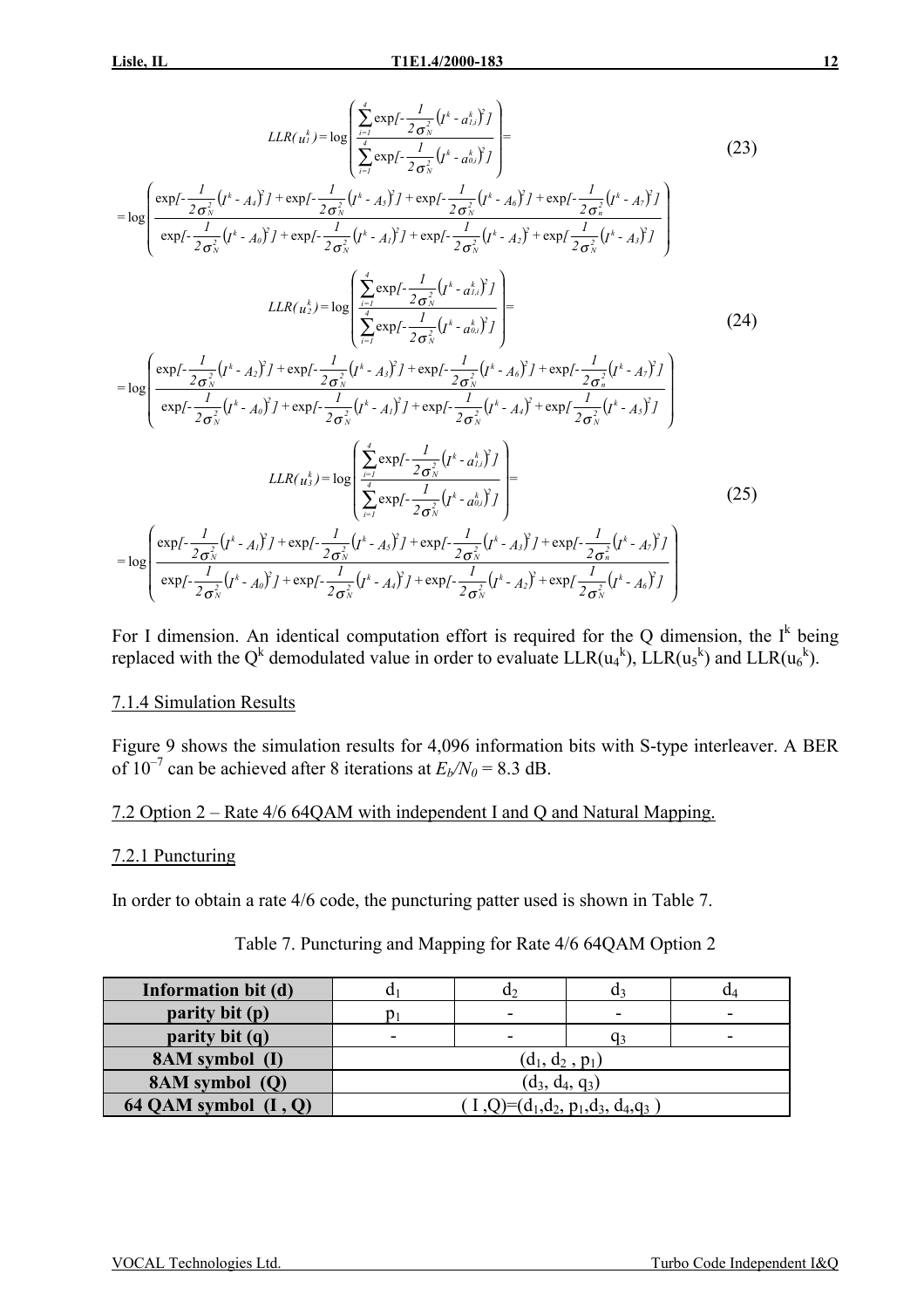*=*

$$
LLR(u_1^k) = \log \left( \frac{\sum_{i=1}^4 \exp\{-\frac{1}{2\sigma_N^2} (J^k - a_{1,i}^k)^2\}}{\sum_{i=1}^4 \exp\{-\frac{1}{2\sigma_N^2} (J^k - a_{0,i}^k)^2\}} \right) =
$$
\n
$$
4\pi \int_{0}^{2} J + \exp\{-\frac{1}{2\sigma_N^2} (J^k - A_0)^2\} + \exp\{-\frac{1}{2\sigma_N^2} (J^k - A_0)^2\} + \exp\{-\frac{1}{2\sigma_N^2} (J^k - A_0)^2\}
$$
\n(23)

$$
\log \left( \frac{\exp \left(-\frac{1}{2\sigma_{N}^{2}}\left(t^{k}-A_{i}\right)^{2}+ \exp \left(-\frac{1}{2\sigma_{N}^{2}}\left(t^{k}-A_{S}\right)^{2}\right)+\exp \left(-\frac{1}{2\sigma_{N}^{2}}\left(t^{k}-A_{S}\right)^{2}\right)+\exp \left(-\frac{1}{2\sigma_{N}^{2}}\left(t^{k}-A_{S}\right)^{2}\right)\right)}{\exp \left(-\frac{1}{2\sigma_{N}^{2}}\left(t^{k}-A_{0}\right)^{2}+ \exp \left(-\frac{1}{2\sigma_{N}^{2}}\left(t^{k}-A_{I}\right)^{2}\right)+\exp \left(-\frac{1}{2\sigma_{N}^{2}}\left(t^{k}-A_{2}\right)^{2}+\exp \left(\frac{1}{2\sigma_{N}^{2}}\left(t^{k}-A_{S}\right)^{2}\right)\right)}\right)}{LLR(u_{2}^{k})=\log \left( \sum_{i=1}^{4} \exp \left(-\frac{1}{2\sigma_{N}^{2}}\left(t^{k}-a_{i,i}^{k}\right)^{2}+ \frac{1}{2\sigma_{N}^{2}}\left(t^{k}-a_{i,i}^{k}\right)^{2}\right)\right)} \tag{24}
$$

$$
= \log \left( \frac{\exp \left\{ -\frac{1}{2\sigma_{N}^{2}} \left( I^{k} - A_{2} \right)^{2} \right\} + \exp \left\{ -\frac{1}{2\sigma_{N}^{2}} \left( I^{k} - A_{3} \right)^{2} \right\} + \exp \left\{ -\frac{1}{2\sigma_{N}^{2}} \left( I^{k} - A_{6} \right)^{2} \right\} + \exp \left\{ -\frac{1}{2\sigma_{N}^{2}} \left( I^{k} - A_{7} \right)^{2} \right\}}{\exp \left\{ -\frac{1}{2\sigma_{N}^{2}} \left( I^{k} - A_{0} \right)^{2} \right\} + \exp \left\{ -\frac{1}{2\sigma_{N}^{2}} \left( I^{k} - A_{1} \right)^{2} \right\} + \exp \left\{ -\frac{1}{2\sigma_{N}^{2}} \left( I^{k} - A_{4} \right)^{2} + \exp \left\{ -\frac{1}{2\sigma_{N}^{2}} \left( I^{k} - A_{7} \right)^{2} \right\}}{\exp \left\{ -\frac{1}{2\sigma_{N}^{2}} \left( I^{k} - A_{7} \right)^{2} \right\}} \right)
$$
\n
$$
LLR(u_{3}^{k}) = \log \left( \sum_{i=1}^{4} \exp \left\{ -\frac{1}{2\sigma_{N}^{2}} \left( I^{k} - a_{0i}^{k} \right)^{2} \right\} \right)
$$
\n
$$
= \log \left( \sum_{i=1}^{4} \exp \left\{ -\frac{1}{2\sigma_{N}^{2}} \left( I^{k} - A_{7} \right)^{2} \right\} + \exp \left\{ -\frac{1}{2\sigma_{N}^{2}} \left( I^{k} - A_{7} \right)^{2} \right\} + \exp \left\{ -\frac{1}{2\sigma_{N}^{2}} \left( I^{k} - A_{7} \right)^{2} \right\} \right)
$$
\n
$$
(25)
$$

$$
= \log \left( \frac{\exp \left\{ -\frac{1}{2\sigma_N^2} \left( I^k - A_I \right)^2 J + \exp \left\{ -\frac{1}{2\sigma_N^2} \left( I^k - A_S \right)^2 J + \exp \left\{ -\frac{1}{2\sigma_N^2} \left( I^k - A_S \right)^2 J + \exp \left\{ -\frac{1}{2\sigma_N^2} \left( I^k - A_I \right)^2 J + \exp \left\{ -\frac{1}{2\sigma_N^2} \left( I^k - A_I \right)^2 J + \exp \left\{ -\frac{1}{2\sigma_N^2} \left( I^k - A_I \right)^2 J + \exp \left\{ -\frac{1}{2\sigma_N^2} \left( I^k - A_I \right)^2 J + \exp \left\{ -\frac{1}{2\sigma_N^2} \left( I^k - A_I \right)^2 J + \exp \left\{ -\frac{1}{2\sigma_N^2} \left( I^k - A_I \right)^2 J + \exp \left\{ -\frac{1}{2\sigma_N^2} \left( I^k - A_I \right)^2 J + \exp \left\{ -\frac{1}{2\sigma_N^2} \left( I^k - A_I \right)^2 J + \exp \left\{ -\frac{1}{2\sigma_N^2} \left( I^k - A_I \right)^2 J + \exp \left\{ -\frac{1}{2\sigma_N^2} \left( I^k - A_I \right)^2 J + \exp \left\{ -\frac{1}{2\sigma_N^2} \left( I^k - A_I \right)^2 J + \exp \left\{ -\frac{1}{2\sigma_N^2} \left( I^k - A_I \right)^2 J + \exp \left\{ -\frac{1}{2\sigma_N^2} \left( I^k - A_I \right)^2 J + \exp \left\{ -\frac{1}{2\sigma_N^2} \left( I^k - A_I \right)^2 J + \exp \left\{ -\frac{1}{2\sigma_N^2} \left( I^k - A_I \right)^2 J + \exp \left\{ -\frac{1}{2\sigma_N^2} \left( I^k - A_I \right)^2 J + \exp \left\{ -\frac{1}{2\sigma_N^2} \left( I^k - A_I \right)^2 J + \exp \left\{ -\frac{1}{2\sigma_N^2} \left( I^k - A_I \right)^2 J + \exp \left\{ -\frac{1}{2\sigma_N^2} \left( I^k - A_I \right)^2 J + \exp \
$$

For I dimension. An identical computation effort is required for the Q dimension, the  $I^k$  being replaced with the Q<sup>k</sup> demodulated value in order to evaluate  $LLR(u_4^k)$ ,  $LLR(u_5^k)$  and  $LLR(u_6^k)$ .

#### 7.1.4 Simulation Results

Figure 9 shows the simulation results for 4,096 information bits with S-type interleaver. A BER of  $10^{-7}$  can be achieved after 8 iterations at  $E_b/N_0 = 8.3$  dB.

#### 7.2 Option 2 – Rate 4/6 64QAM with independent I and Q and Natural Mapping.

#### 7.2.1 Puncturing

In order to obtain a rate 4/6 code, the puncturing patter used is shown in Table 7.

| Information bit (d)    |                   | u۶                                | u٩ | u⊿ |  |  |  |  |  |
|------------------------|-------------------|-----------------------------------|----|----|--|--|--|--|--|
| parity bit (p)         |                   | -                                 |    |    |  |  |  |  |  |
| parity bit (q)         | -                 | -                                 | q3 |    |  |  |  |  |  |
| 8AM symbol (I)         |                   | $(d_1, d_2, p_1)$                 |    |    |  |  |  |  |  |
| 8AM symbol (Q)         | $(d_3, d_4, q_3)$ |                                   |    |    |  |  |  |  |  |
| 64 QAM symbol $(I, Q)$ |                   | $(1,Q)=(d_1,d_2,p_1,d_3,d_4,q_3)$ |    |    |  |  |  |  |  |

#### Table 7. Puncturing and Mapping for Rate 4/6 64QAM Option 2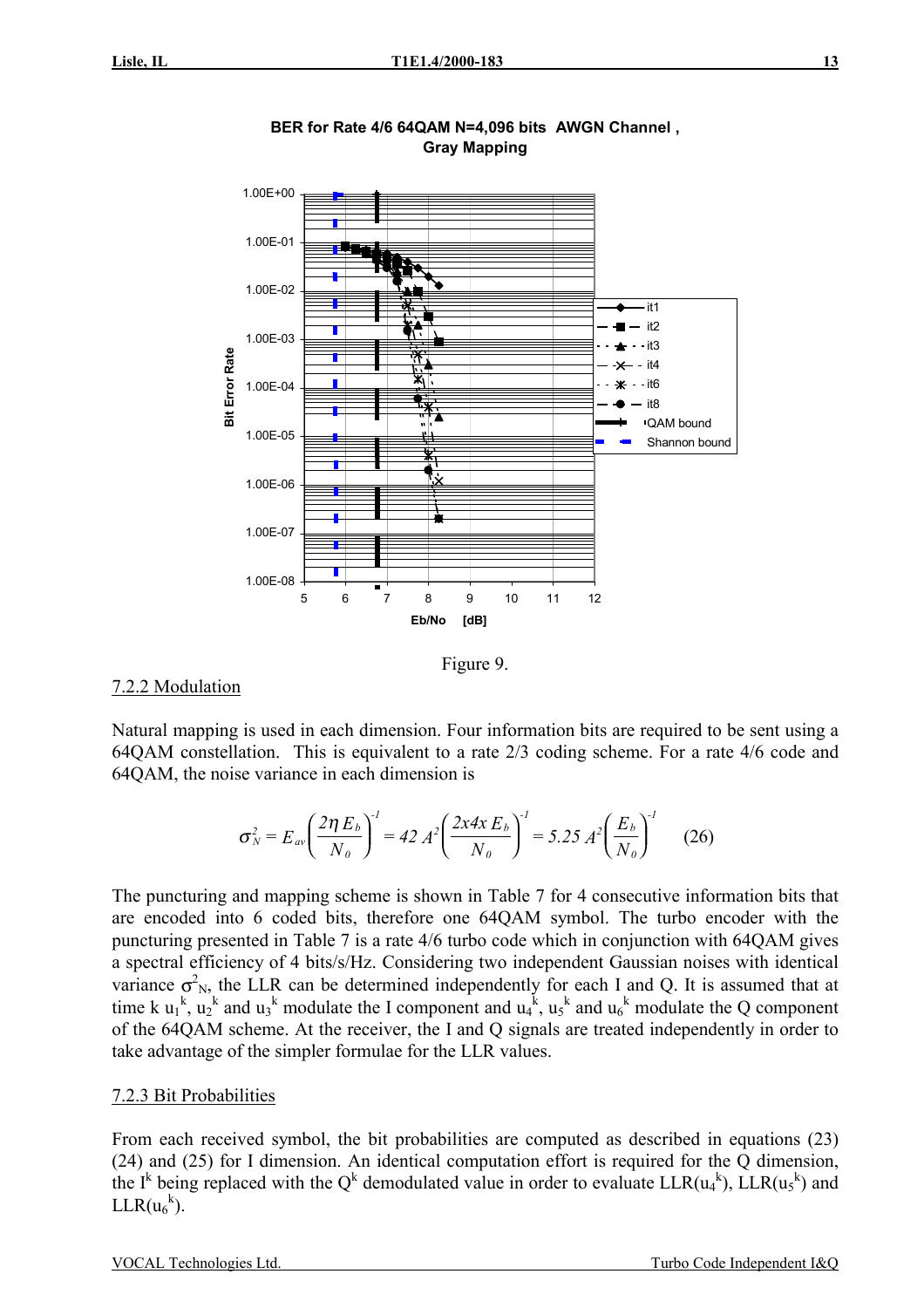

**BER for Rate 4/6 64QAM N=4,096 bits AWGN Channel , Gray Mapping**

Figure 9.

#### 7.2.2 Modulation

Natural mapping is used in each dimension. Four information bits are required to be sent using a 64QAM constellation. This is equivalent to a rate 2/3 coding scheme. For a rate 4/6 code and 64QAM, the noise variance in each dimension is

$$
\sigma_N^2 = E_{av} \left( \frac{2 \eta E_b}{N_o} \right)^{-1} = 42 A^2 \left( \frac{2x 4x E_b}{N_o} \right)^{-1} = 5.25 A^2 \left( \frac{E_b}{N_o} \right)^{-1}
$$
 (26)

The puncturing and mapping scheme is shown in Table 7 for 4 consecutive information bits that are encoded into 6 coded bits, therefore one 64QAM symbol. The turbo encoder with the puncturing presented in Table 7 is a rate 4/6 turbo code which in conjunction with 64QAM gives a spectral efficiency of 4 bits/s/Hz. Considering two independent Gaussian noises with identical variance  $\sigma_{N}^2$ , the LLR can be determined independently for each I and Q. It is assumed that at time k  $u_1^k$ ,  $u_2^k$  and  $u_3^k$  modulate the I component and  $u_4^k$ ,  $u_5^k$  and  $u_6^k$  modulate the Q component of the 64QAM scheme. At the receiver, the I and Q signals are treated independently in order to take advantage of the simpler formulae for the LLR values.

#### 7.2.3 Bit Probabilities

From each received symbol, the bit probabilities are computed as described in equations (23) (24) and (25) for I dimension. An identical computation effort is required for the Q dimension, the I<sup>k</sup> being replaced with the Q<sup>k</sup> demodulated value in order to evaluate LLR( $u_4$ <sup>k</sup>), LLR( $u_5$ <sup>k</sup>) and  $LLR(u_6^k)$ .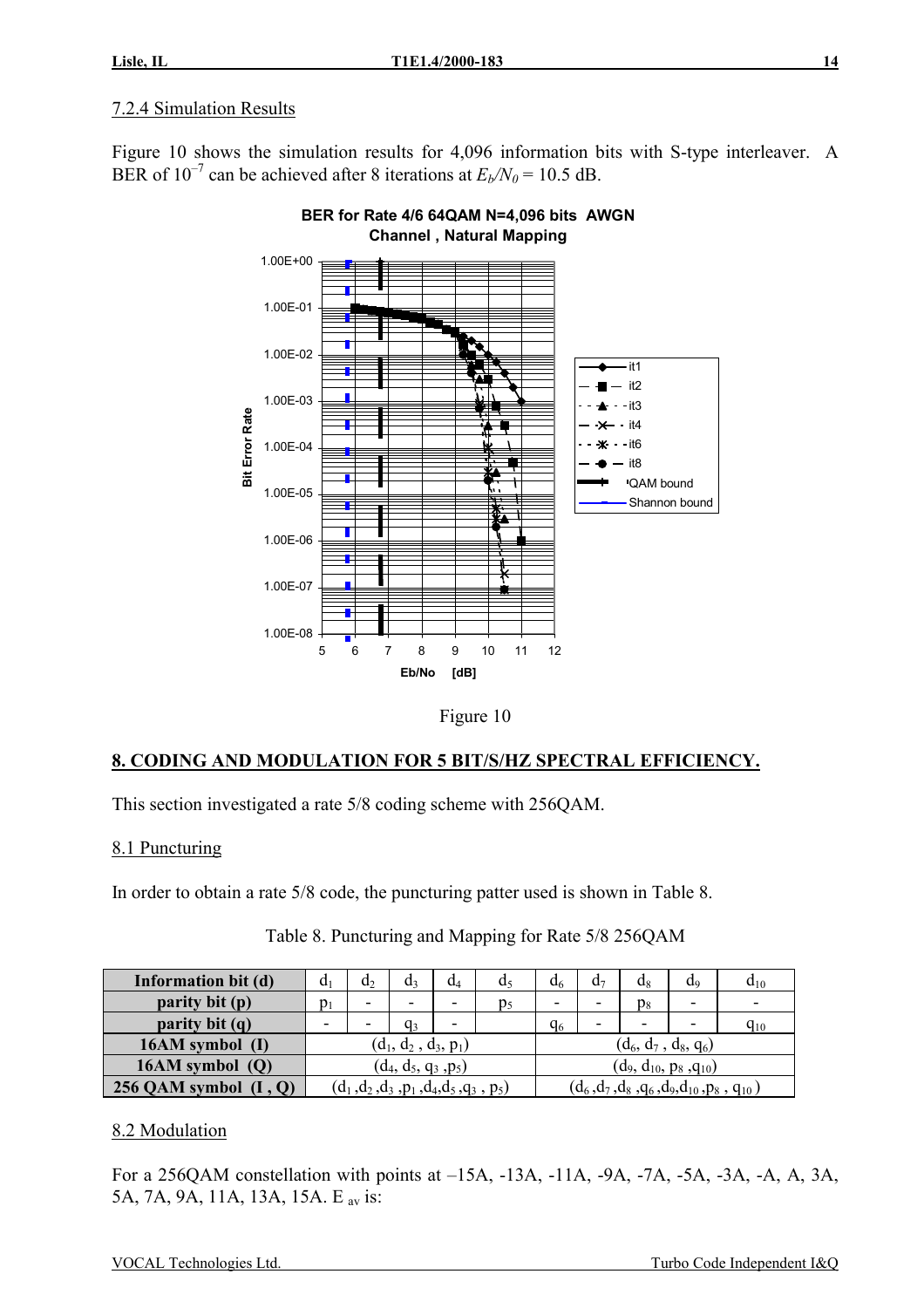### 7.2.4 Simulation Results

Figure 10 shows the simulation results for 4,096 information bits with S-type interleaver. A BER of  $10^{-7}$  can be achieved after 8 iterations at  $E_b/N_0 = 10.5$  dB.





Figure 10

# **8. CODING AND MODULATION FOR 5 BIT/S/HZ SPECTRAL EFFICIENCY.**

This section investigated a rate 5/8 coding scheme with 256QAM.

### 8.1 Puncturing

In order to obtain a rate 5/8 code, the puncturing patter used is shown in Table 8.

| Information bit (d)     | a <sub>1</sub>   | $d_2$                    | d٩                                         | $d_4$ | a <sub>5</sub> | d٢                           | d۶                       | $d_8$                    | d9                                               | $d_{10}$                 |
|-------------------------|------------------|--------------------------|--------------------------------------------|-------|----------------|------------------------------|--------------------------|--------------------------|--------------------------------------------------|--------------------------|
| parity bit (p)          | $\mathfrak{p}_1$ | $\overline{\phantom{0}}$ |                                            |       | p5             |                              | $\overline{\phantom{0}}$ | $p_8$                    | $\overline{\phantom{0}}$                         | $\overline{\phantom{0}}$ |
| parity bit (q)          | -                | ٠                        | qз                                         |       |                | q <sub>6</sub>               | -                        | $\overline{\phantom{0}}$ | $\overline{\phantom{0}}$                         | $q_{10}$                 |
| 16AM symbol (I)         |                  |                          | $(d_1, d_2, d_3, p_1)$                     |       |                | $(d_6, d_7, d_8, q_6)$       |                          |                          |                                                  |                          |
| 16AM symbol $(Q)$       |                  | $(d_4, d_5, q_3, p_5)$   |                                            |       |                | $(d_9, d_{10}, p_8, q_{10})$ |                          |                          |                                                  |                          |
| 256 QAM symbol $(I, Q)$ |                  |                          | $(d_1, d_2, d_3, p_1, d_4, d_5, q_3, p_5)$ |       |                |                              |                          |                          | $(d_6, d_7, d_8, q_6, d_9, d_{10}, p_8, q_{10})$ |                          |

| Table 8. Puncturing and Mapping for Rate 5/8 256QAM |  |  |
|-----------------------------------------------------|--|--|
|                                                     |  |  |

#### 8.2 Modulation

For a 256QAM constellation with points at –15A, -13A, -11A, -9A, -7A, -5A, -3A, -A, A, 3A, 5A, 7A, 9A, 11A, 13A, 15A. E av is: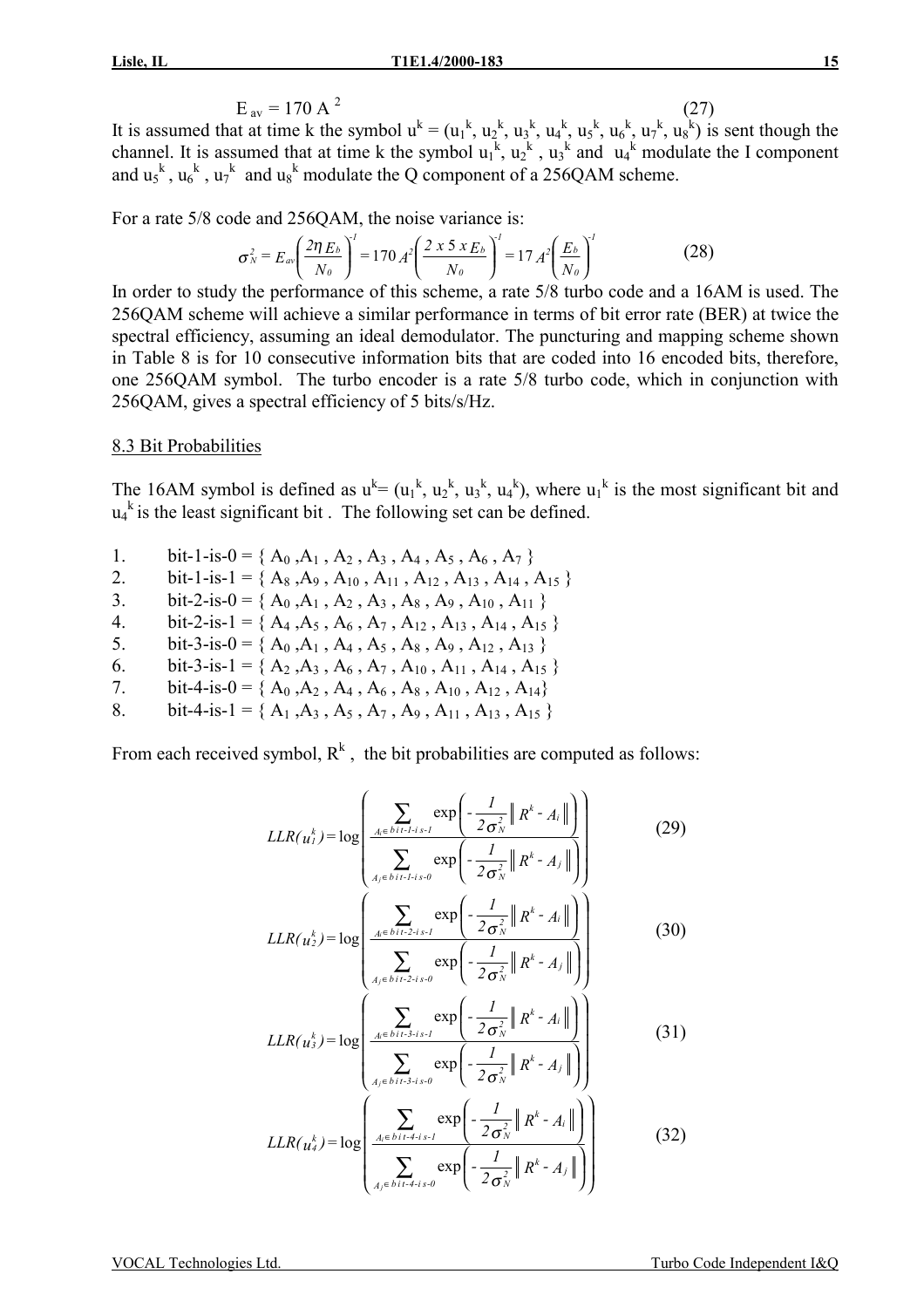$$
E_{av} = 170 \text{ A}^2 \tag{27}
$$

It is assumed that at time k the symbol  $u^k = (u_1^k, u_2^k, u_3^k, u_4^k, u_5^k, u_6^k, u_7^k, u_8^k)$  is sent though the channel. It is assumed that at time k the symbol  $u_1^k$ ,  $u_2^k$ ,  $u_3^k$  and  $u_4^k$  modulate the I component and  $u_5^k$ ,  $u_6^k$ ,  $u_7^k$  and  $u_8^k$  modulate the Q component of a 256QAM scheme.

For a rate 5/8 code and 256QAM, the noise variance is:

$$
\sigma_N^2 = E_{av} \left( \frac{2 \eta E_b}{N_o} \right)^l = 170 A^2 \left( \frac{2 \times 5 \times E_b}{N_o} \right)^l = 17 A^2 \left( \frac{E_b}{N_o} \right)^l \tag{28}
$$

In order to study the performance of this scheme, a rate 5/8 turbo code and a 16AM is used. The 256QAM scheme will achieve a similar performance in terms of bit error rate (BER) at twice the spectral efficiency, assuming an ideal demodulator. The puncturing and mapping scheme shown in Table 8 is for 10 consecutive information bits that are coded into 16 encoded bits, therefore, one 256QAM symbol. The turbo encoder is a rate 5/8 turbo code, which in conjunction with 256QAM, gives a spectral efficiency of 5 bits/s/Hz.

### 8.3 Bit Probabilities

The 16AM symbol is defined as  $u^k = (u_1^k, u_2^k, u_3^k, u_4^k)$ , where  $u_1^k$  is the most significant bit and  $u_4$ <sup>k</sup> is the least significant bit. The following set can be defined.

- 1. bit-1-is-0 = { $A_0$ , $A_1$ ,  $A_2$ ,  $A_3$ ,  $A_4$ ,  $A_5$ ,  $A_6$ ,  $A_7$ }
- 2. bit-1-is-1 = {  $A_8$ ,  $A_9$ ,  $A_{10}$ ,  $A_{11}$ ,  $A_{12}$ ,  $A_{13}$ ,  $A_{14}$ ,  $A_{15}$ }
- 3. bit-2-is-0 = { $A_0$ , $A_1$ ,  $A_2$ ,  $A_3$ ,  $A_8$ ,  $A_9$ ,  $A_{10}$ ,  $A_{11}$ }
- 4. bit-2-is-1 = {  $A_4$ ,  $A_5$ ,  $A_6$ ,  $A_7$ ,  $A_{12}$ ,  $A_{13}$ ,  $A_{14}$ ,  $A_{15}$ }
- 5. bit-3-is-0 = { $A_0$ , $A_1$ ,  $A_4$ ,  $A_5$ ,  $A_8$ ,  $A_9$ ,  $A_{12}$ ,  $A_{13}$ }
- 6. bit-3-is-1 = { $A_2$ , $A_3$ ,  $A_6$ ,  $A_7$ ,  $A_{10}$ ,  $A_{11}$ ,  $A_{14}$ ,  $A_{15}$ }
- 7. bit-4-is-0 = { $A_0$ , $A_2$ ,  $A_4$ ,  $A_6$ ,  $A_8$ ,  $A_{10}$ ,  $A_{12}$ ,  $A_{14}$ }
- 8. bit-4-is-1 = {  $A_1$ ,  $A_3$ ,  $A_5$ ,  $A_7$ ,  $A_9$ ,  $A_{11}$ ,  $A_{13}$ ,  $A_{15}$ }

From each received symbol,  $R^k$ , the bit probabilities are computed as follows:

$$
LLR(u_i^k) = \log \left( \frac{\sum_{A_i \in \text{bit-1-}i \text{ s-}i} \exp \left( -\frac{1}{2\sigma_N^2} \| R^k - A_i \| \right)}{\sum_{A_j \in \text{bit-1-}i \text{ s-}i} \exp \left( -\frac{1}{2\sigma_N^2} \| R^k - A_j \| \right)} \right)
$$
(29)

$$
LLR(u_2^k) = \log \left( \frac{\frac{A_i \in bit \cdot 2 \cdot i \cdot s \cdot l}{\sigma N} \cdot \left( 2 \sigma_N^2 \right)^{\frac{1}{\sigma N}}}{\sum_{A_j \in bit \cdot 2 \cdot i \cdot s \cdot 0} \exp \left( -\frac{l}{2 \sigma_N^2} \left\| R^k - A_j \right\| \right)} \right)
$$
(30)

$$
LLR(u_3^k) = \log \left( \frac{\sum_{A_i \in \text{bit-3-}i \text{ s-1}} \exp \left( -\frac{1}{2\sigma_N^2} \| R^k - A_i \| \right)}{\sum_{A_j \in \text{bit-3-}i \text{ s-0}} \exp \left( -\frac{1}{2\sigma_N^2} \| R^k - A_j \| \right)} \right)
$$
(31)

$$
LLR(u_4^k) = \log \left( \frac{\sum_{A_i \in \text{bit-4-is-1}} \exp \left( -\frac{1}{2 \sigma_N^2} \left\| R^k - A_i \right\| \right)}{\sum_{A_j \in \text{bit-4-is-0}} \exp \left( -\frac{1}{2 \sigma_N^2} \left\| R^k - A_j \right\| \right)} \right)
$$
(32)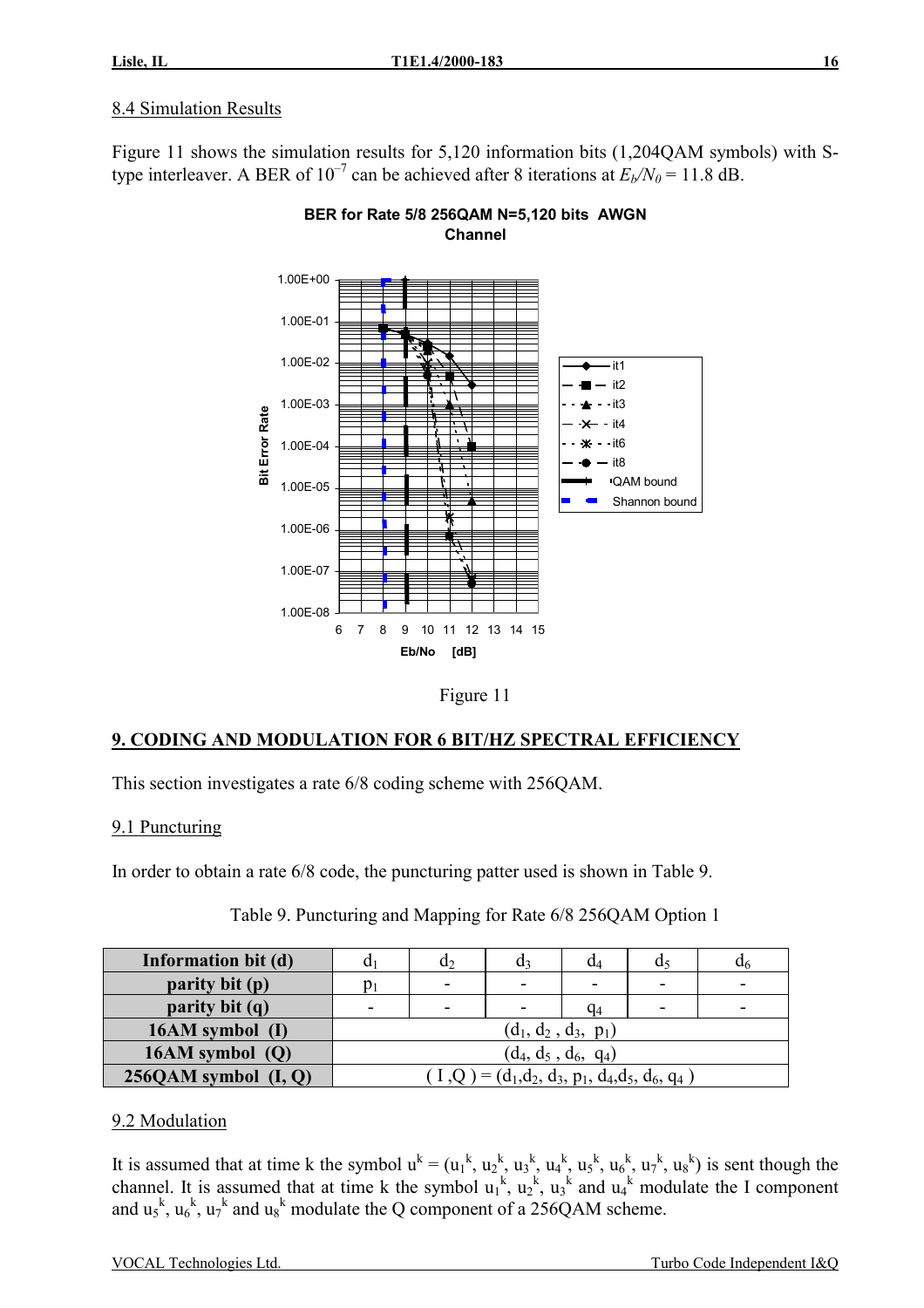# 8.4 Simulation Results

Figure 11 shows the simulation results for 5,120 information bits (1,204QAM symbols) with Stype interleaver. A BER of  $10^{-7}$  can be achieved after 8 iterations at  $E_b/N_0 = 11.8$  dB.



**BER for Rate 5/8 256QAM N=5,120 bits AWGN Channel** 



# **9. CODING AND MODULATION FOR 6 BIT/HZ SPECTRAL EFFICIENCY**

This section investigates a rate 6/8 coding scheme with 256QAM.

# 9.1 Puncturing

In order to obtain a rate 6/8 code, the puncturing patter used is shown in Table 9.

| Information bit (d)      |                        | u۶                       | u٩                                                 | $a_4$ |                          | u6 |  |  |  |
|--------------------------|------------------------|--------------------------|----------------------------------------------------|-------|--------------------------|----|--|--|--|
| parity bit (p)           | D1                     | -                        |                                                    | -     | $\overline{\phantom{0}}$ |    |  |  |  |
| parity bit (q)           | -                      | $\overline{\phantom{0}}$ |                                                    | $q_4$ | -                        |    |  |  |  |
| 16AM symbol (I)          |                        |                          | $(d_1, d_2, d_3, p_1)$                             |       |                          |    |  |  |  |
| $16AM$ symbol $(Q)$      | $(d_4, d_5, d_6, q_4)$ |                          |                                                    |       |                          |    |  |  |  |
| $256QAM$ symbol $(I, Q)$ |                        |                          | $(I,Q) = (d_1, d_2, d_3, p_1, d_4, d_5, d_6, q_4)$ |       |                          |    |  |  |  |

Table 9. Puncturing and Mapping for Rate 6/8 256QAM Option 1

# 9.2 Modulation

It is assumed that at time k the symbol  $u^k = (u_1^k, u_2^k, u_3^k, u_4^k, u_5^k, u_6^k, u_7^k, u_8^k)$  is sent though the channel. It is assumed that at time k the symbol  $u_1^k$ ,  $u_2^k$ ,  $u_3^k$  and  $u_4^k$  modulate the I component and  $u_5^k$ ,  $u_6^k$ ,  $u_7^k$  and  $u_8^k$  modulate the Q component of a 256QAM scheme.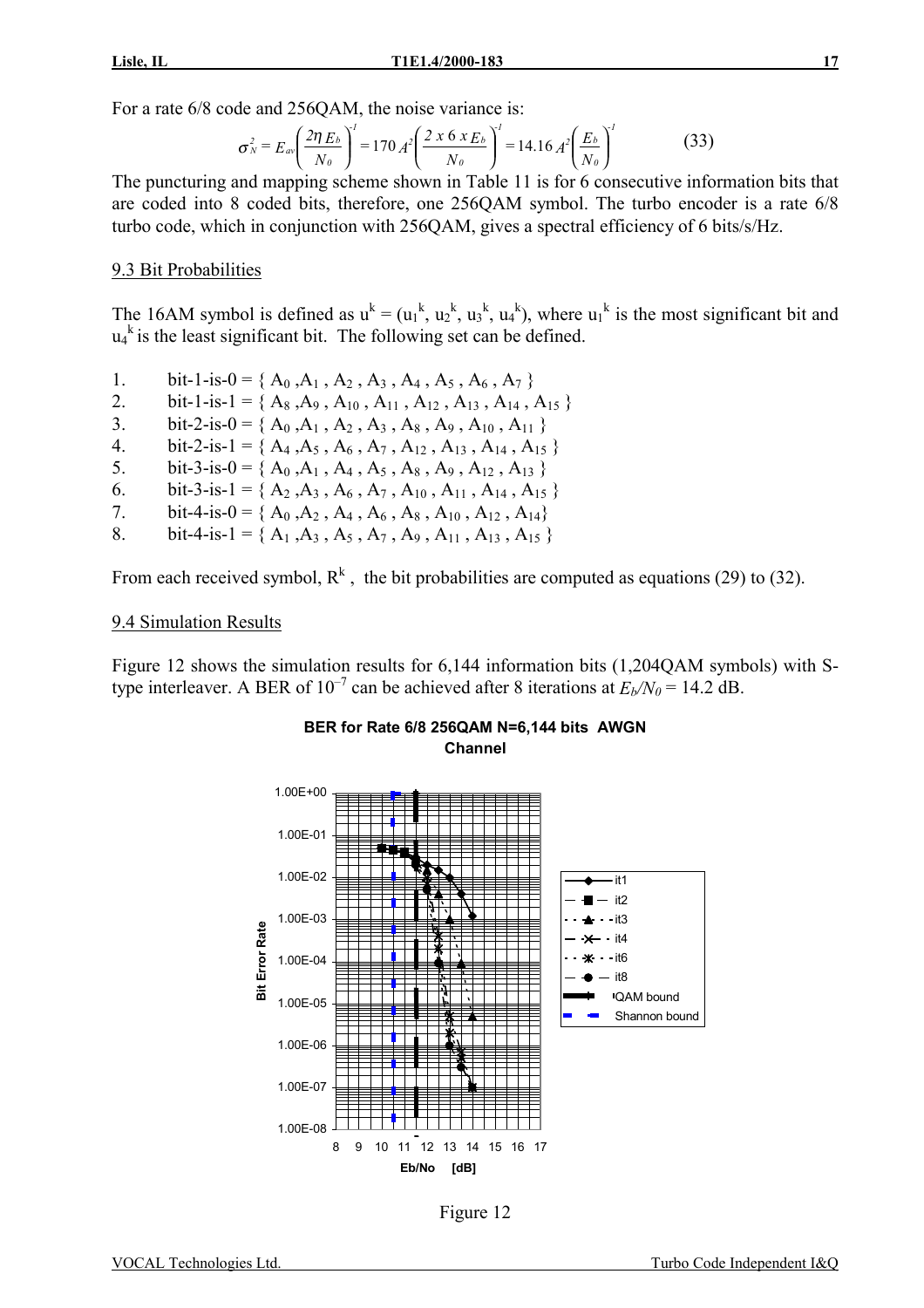$$
\sigma_N^2 = E_{av} \left( \frac{2 \eta E_b}{N_0} \right)^l = 170 A^2 \left( \frac{2 \times 6 \times E_b}{N_0} \right)^l = 14.16 A^2 \left( \frac{E_b}{N_0} \right)^l \tag{33}
$$

The puncturing and mapping scheme shown in Table 11 is for 6 consecutive information bits that are coded into 8 coded bits, therefore, one 256QAM symbol. The turbo encoder is a rate 6/8 turbo code, which in conjunction with 256QAM, gives a spectral efficiency of 6 bits/s/Hz.

#### 9.3 Bit Probabilities

The 16AM symbol is defined as  $u^k = (u_1^k, u_2^k, u_3^k, u_4^k)$ , where  $u_1^k$  is the most significant bit and  $u_4$ <sup>k</sup> is the least significant bit. The following set can be defined.

- 1. bit-1-is-0 = { $A_0$ , $A_1$ ,  $A_2$ ,  $A_3$ ,  $A_4$ ,  $A_5$ ,  $A_6$ ,  $A_7$ }
- 2. bit-1-is-1 = {  $A_8$ ,  $A_9$ ,  $A_{10}$ ,  $A_{11}$ ,  $A_{12}$ ,  $A_{13}$ ,  $A_{14}$ ,  $A_{15}$ }
- 3. bit-2-is-0 = { $A_0$ , $A_1$ ,  $A_2$ ,  $A_3$ ,  $A_8$ ,  $A_9$ ,  $A_{10}$ ,  $A_{11}$ }
- 4. bit-2-is-1 = { $A_4$ , $A_5$ ,  $A_6$ ,  $A_7$ ,  $A_{12}$ ,  $A_{13}$ ,  $A_{14}$ ,  $A_{15}$ }
- 5. bit-3-is-0 = {  $A_0$ ,  $A_1$ ,  $A_4$ ,  $A_5$ ,  $A_8$ ,  $A_9$ ,  $A_{12}$ ,  $A_{13}$ }
- 6. bit-3-is-1 = { $A_2$ , $A_3$ ,  $A_6$ ,  $A_7$ ,  $A_{10}$ ,  $A_{11}$ ,  $A_{14}$ ,  $A_{15}$ }
- 7. bit-4-is-0 = { $A_0$ , $A_2$ ,  $A_4$ ,  $A_6$ ,  $A_8$ ,  $A_{10}$ ,  $A_{12}$ ,  $A_{14}$ }
- 8. bit-4-is-1 = {  $A_1$ ,  $A_3$ ,  $A_5$ ,  $A_7$ ,  $A_9$ ,  $A_{11}$ ,  $A_{13}$ ,  $A_{15}$ }

From each received symbol,  $R^k$ , the bit probabilities are computed as equations (29) to (32).

#### 9.4 Simulation Results

Figure 12 shows the simulation results for 6,144 information bits (1,204QAM symbols) with Stype interleaver. A BER of  $10^{-7}$  can be achieved after 8 iterations at  $E_b/N_0 = 14.2$  dB.

**BER for Rate 6/8 256QAM N=6,144 bits AWGN** 



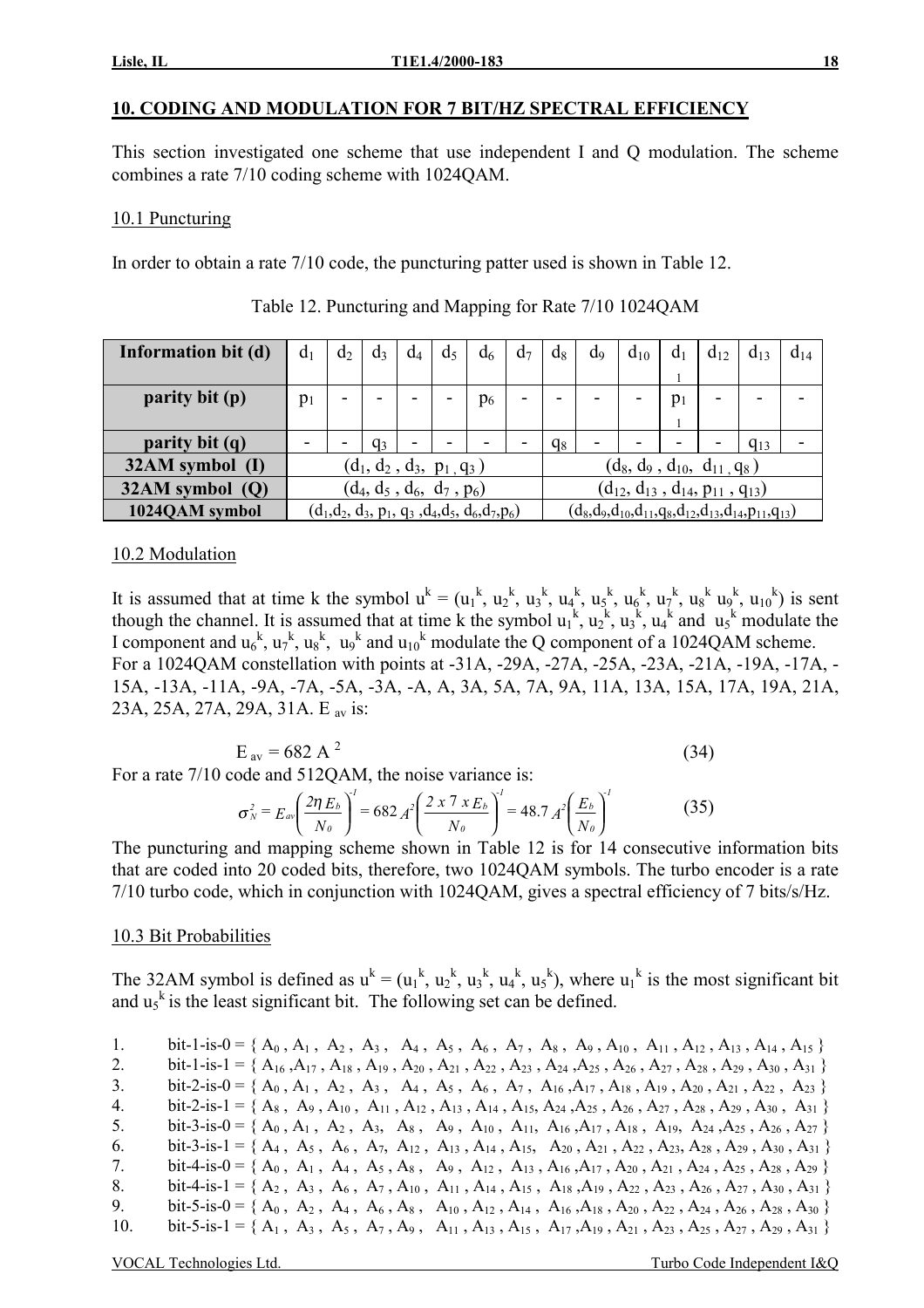# **10. CODING AND MODULATION FOR 7 BIT/HZ SPECTRAL EFFICIENCY**

This section investigated one scheme that use independent I and Q modulation. The scheme combines a rate 7/10 coding scheme with 1024QAM.

### 10.1 Puncturing

In order to obtain a rate 7/10 code, the puncturing patter used is shown in Table 12.

| Information bit (d) | d <sub>1</sub> | $d_2$                       | $d_3$ | $d_4$ | d <sub>5</sub>              | $d_6$                                                | d <sub>7</sub> | $d_8$                                      | $d_9$ | $d_{10}$                          | $a_1$ | $d_{12}$ | $d_{13}$                                                                  | $d_{14}$ |
|---------------------|----------------|-----------------------------|-------|-------|-----------------------------|------------------------------------------------------|----------------|--------------------------------------------|-------|-----------------------------------|-------|----------|---------------------------------------------------------------------------|----------|
|                     |                |                             |       |       |                             |                                                      |                |                                            |       |                                   |       |          |                                                                           |          |
| parity bit (p)      | $p_1$          | -                           |       | -     |                             | $p_6$                                                | -              |                                            |       | -                                 | $p_1$ | -        | -                                                                         |          |
|                     |                |                             |       |       |                             |                                                      |                |                                            |       |                                   |       |          |                                                                           |          |
| parity bit (q)      |                |                             | $q_3$ |       |                             |                                                      |                | $q_8$                                      |       |                                   |       |          | $q_{13}$                                                                  |          |
| 32AM symbol (I)     |                |                             |       |       | $(d_1, d_2, d_3, p_1, q_3)$ |                                                      |                |                                            |       | $(d_8, d_9, d_{10}, d_{11}, q_8)$ |       |          |                                                                           |          |
| $32AM$ symbol $(Q)$ |                | $(d_4, d_5, d_6, d_7, p_6)$ |       |       |                             |                                                      |                | $(d_{12}, d_{13}, d_{14}, p_{11}, q_{13})$ |       |                                   |       |          |                                                                           |          |
| 1024QAM symbol      |                |                             |       |       |                             | $(d_1, d_2, d_3, p_1, q_3, d_4, d_5, d_6, d_7, p_6)$ |                |                                            |       |                                   |       |          | $(d_8, d_9, d_{10}, d_{11}, q_8, d_{12}, d_{13}, d_{14}, p_{11}, q_{13})$ |          |

Table 12. Puncturing and Mapping for Rate 7/10 1024QAM

### 10.2 Modulation

It is assumed that at time k the symbol  $u^k = (u_1^k, u_2^k, u_3^k, u_4^k, u_5^k, u_6^k, u_7^k, u_8^k, u_9^k, u_{10}^k)$  is sent though the channel. It is assumed that at time k the symbol  $u_1^k$ ,  $u_2^k$ ,  $u_3^k$ ,  $u_4^k$  and  $u_5^k$  modulate the I component and  $u_6^k$ ,  $u_7^k$ ,  $u_8^k$ ,  $u_9^k$  and  $u_{10}^k$  modulate the Q component of a 1024QAM scheme. For a 1024QAM constellation with points at -31A, -29A, -27A, -25A, -23A, -21A, -19A, -17A, - 15A, -13A, -11A, -9A, -7A, -5A, -3A, -A, A, 3A, 5A, 7A, 9A, 11A, 13A, 15A, 17A, 19A, 21A, 23A, 25A, 27A, 29A, 31A. E av is:

$$
E_{av} = 682 \text{ A}^2 \tag{34}
$$

For a rate 7/10 code and 512OAM, the noise variance is:

$$
\sigma_N^2 = E_{av} \left( \frac{2 \eta E_b}{N_0} \right)^l = 682 A^2 \left( \frac{2 \times 7 \times E_b}{N_0} \right)^l = 48.7 A^2 \left( \frac{E_b}{N_0} \right)^l \tag{35}
$$

The puncturing and mapping scheme shown in Table 12 is for 14 consecutive information bits that are coded into 20 coded bits, therefore, two 1024QAM symbols. The turbo encoder is a rate 7/10 turbo code, which in conjunction with 1024QAM, gives a spectral efficiency of 7 bits/s/Hz.

# 10.3 Bit Probabilities

The 32AM symbol is defined as  $u^k = (u_1^k, u_2^k, u_3^k, u_4^k, u_5^k)$ , where  $u_1^k$  is the most significant bit and  $u_5$ <sup>k</sup> is the least significant bit. The following set can be defined.

| $1_{-}$ | bit-1-is-0 = { $A_0$ , $A_1$ , $A_2$ , $A_3$ , $A_4$ , $A_5$ , $A_6$ , $A_7$ , $A_8$ , $A_9$ , $A_{10}$ , $A_{11}$ , $A_{12}$ , $A_{13}$ , $A_{14}$ , $A_{15}$ }                               |
|---------|------------------------------------------------------------------------------------------------------------------------------------------------------------------------------------------------|
| 2.      | bit-1-is-1 = { $A_{16}$ , $A_{17}$ , $A_{18}$ , $A_{19}$ , $A_{20}$ , $A_{21}$ , $A_{22}$ , $A_{23}$ , $A_{24}$ , $A_{25}$ , $A_{26}$ , $A_{27}$ , $A_{28}$ , $A_{29}$ , $A_{30}$ , $A_{31}$ } |
| 3.      | bit-2-is-0 = { $A_0$ , $A_1$ , $A_2$ , $A_3$ , $A_4$ , $A_5$ , $A_6$ , $A_7$ , $A_{16}$ , $A_{17}$ , $A_{18}$ , $A_{19}$ , $A_{20}$ , $A_{21}$ , $A_{22}$ , $A_{23}$ }                         |
| 4.      | bit-2-is-1 = { $A_8$ , $A_9$ , $A_{10}$ , $A_{11}$ , $A_{12}$ , $A_{13}$ , $A_{14}$ , $A_{15}$ , $A_{24}$ , $A_{25}$ , $A_{26}$ , $A_{27}$ , $A_{28}$ , $A_{29}$ , $A_{30}$ , $A_{31}$ }       |
| 5.      | bit-3-is-0 = { $A_0$ , $A_1$ , $A_2$ , $A_3$ , $A_8$ , $A_9$ , $A_{10}$ , $A_{11}$ , $A_{16}$ , $A_{17}$ , $A_{18}$ , $A_{19}$ , $A_{24}$ , $A_{25}$ , $A_{26}$ , $A_{27}$ }                   |
| 6.      | bit-3-is-1 = { $A_4$ , $A_5$ , $A_6$ , $A_7$ , $A_{12}$ , $A_{13}$ , $A_{14}$ , $A_{15}$ , $A_{20}$ , $A_{21}$ , $A_{22}$ , $A_{23}$ , $A_{28}$ , $A_{29}$ , $A_{30}$ , $A_{31}$ }             |
| 7.      | bit-4-is-0 = { $A_0$ , $A_1$ , $A_4$ , $A_5$ , $A_8$ , $A_9$ , $A_{12}$ , $A_{13}$ , $A_{16}$ , $A_{17}$ , $A_{20}$ , $A_{21}$ , $A_{24}$ , $A_{25}$ , $A_{28}$ , $A_{29}$ }                   |
| 8.      | bit-4-is-1 = { $A_2$ , $A_3$ , $A_6$ , $A_7$ , $A_{10}$ , $A_{11}$ , $A_{14}$ , $A_{15}$ , $A_{18}$ , $A_{19}$ , $A_{22}$ , $A_{23}$ , $A_{26}$ , $A_{27}$ , $A_{30}$ , $A_{31}$ }             |
| 9.      | bit-5-is-0 = { $A_0$ , $A_2$ , $A_4$ , $A_6$ , $A_8$ , $A_{10}$ , $A_{12}$ , $A_{14}$ , $A_{16}$ , $A_{18}$ , $A_{20}$ , $A_{22}$ , $A_{24}$ , $A_{26}$ , $A_{28}$ , $A_{30}$ }                |
| 10.     | bit-5-is-1 = { $A_1$ , $A_3$ , $A_5$ , $A_7$ , $A_9$ , $A_{11}$ , $A_{13}$ , $A_{15}$ , $A_{17}$ , $A_{19}$ , $A_{21}$ , $A_{23}$ , $A_{25}$ , $A_{27}$ , $A_{29}$ , $A_{31}$ }                |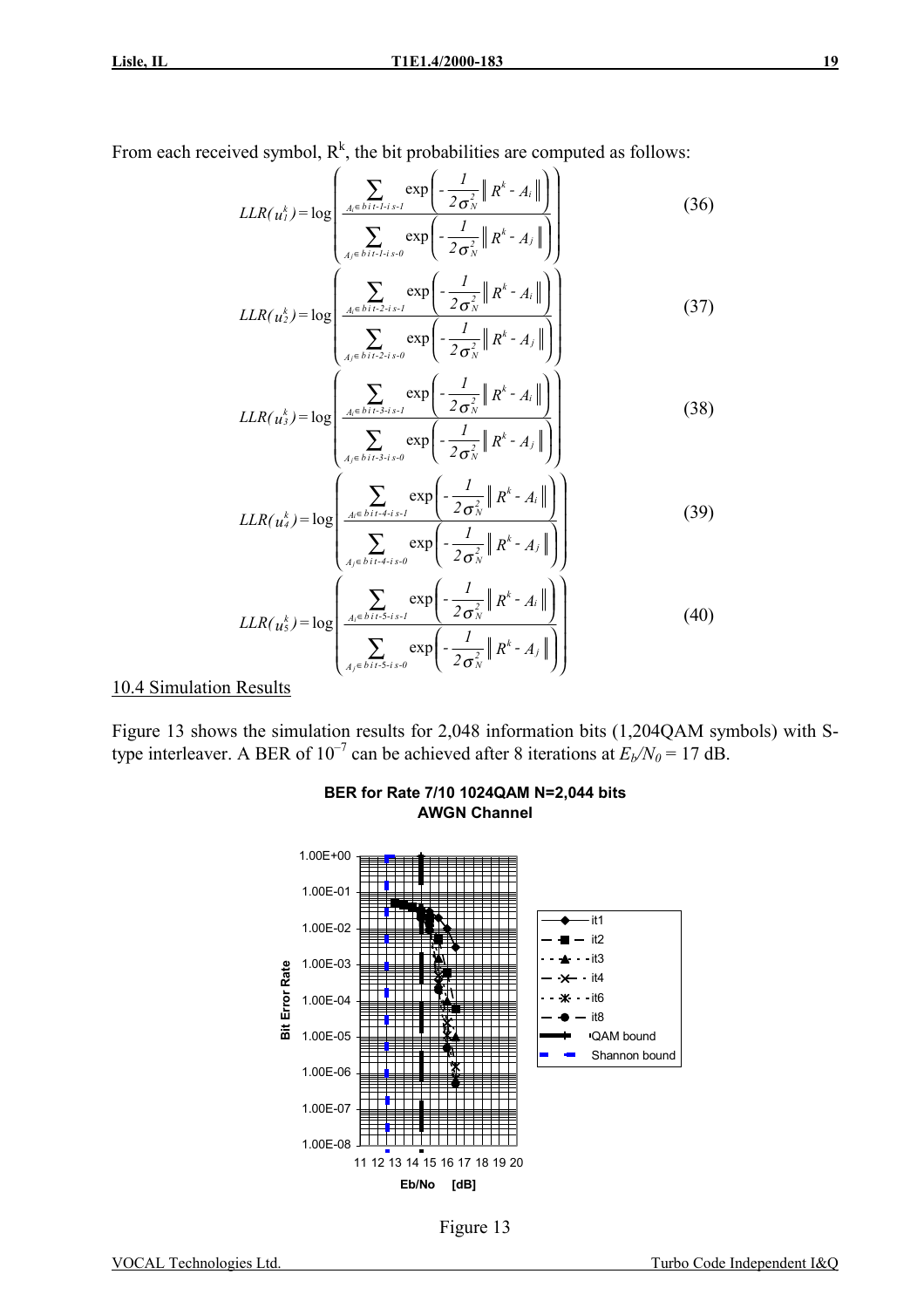From each received symbol,  $R^k$ , the bit probabilities are computed as follows:

$$
LLR(u_i^k) = \log \left( \frac{\sum_{A_i \in b \text{ } i \text{ } i \text{ } -1 \text{ } i \text{ } s \text{ } I}}{\sum_{A_j \in b \text{ } i \text{ } i \text{ } -1 \text{ } i \text{ } s \text{ } 0}} \exp \left( -\frac{I}{2\sigma_N^2} \left\| R^k - A_i \right\| \right) \right)
$$
(36)  

$$
LLR(u_2^k) = \log \left( \frac{\sum_{A_i \in b \text{ } i \text{ } i \text{ } -2 \text{ } i \text{ } s \text{ } I}}{\sum_{A_j \in b \text{ } i \text{ } i \text{ } -2 \text{ } i \text{ } s \text{ } -1}} \exp \left( -\frac{I}{2\sigma_N^2} \left\| R^k - A_i \right\| \right) \right)
$$
(37)

$$
LLR(u_s^k) = \log \left( \frac{\sum_{A_j \in bit: 2 \cdot i \cdot s \cdot t} \exp \left( -\frac{1}{2 \sigma_N^2} \| R^k - A_i \| \right)}{\sum_{A_j \in bit: 3 \cdot i \cdot s \cdot t} \exp \left( -\frac{1}{2 \sigma_N^2} \| R^k - A_j \| \right)} \right)
$$
(38)

$$
LLR(u_4^k) = \log \left( \frac{\sum_{A_i \in \text{bit-4-}i s-l} \exp \left( -\frac{1}{2\sigma_N^2} \| R^k - A_i \| \right)}{\sum_{A_j \in \text{bit-4-}i s-0} \exp \left( -\frac{1}{2\sigma_N^2} \| R^k - A_j \| \right)} \right)
$$
(39)  

$$
LLR(u_5^k) = \log \left( \frac{\sum_{A_i \in \text{bit-5-}i s-l} \exp \left( -\frac{1}{2\sigma_N^2} \| R^k - A_i \| \right)}{\sum_{A_j \in \text{bit-5-}i s-0} \exp \left( -\frac{1}{2\sigma_N^2} \| R^k - A_j \| \right)} \right)
$$
(40)

#### 10.4 Simulation Results

Figure 13 shows the simulation results for 2,048 information bits (1,204QAM symbols) with Stype interleaver. A BER of  $10^{-7}$  can be achieved after 8 iterations at  $E_b/N_0 = 17$  dB.



### **BER for Rate 7/10 1024QAM N=2,044 bits AWGN Channel**

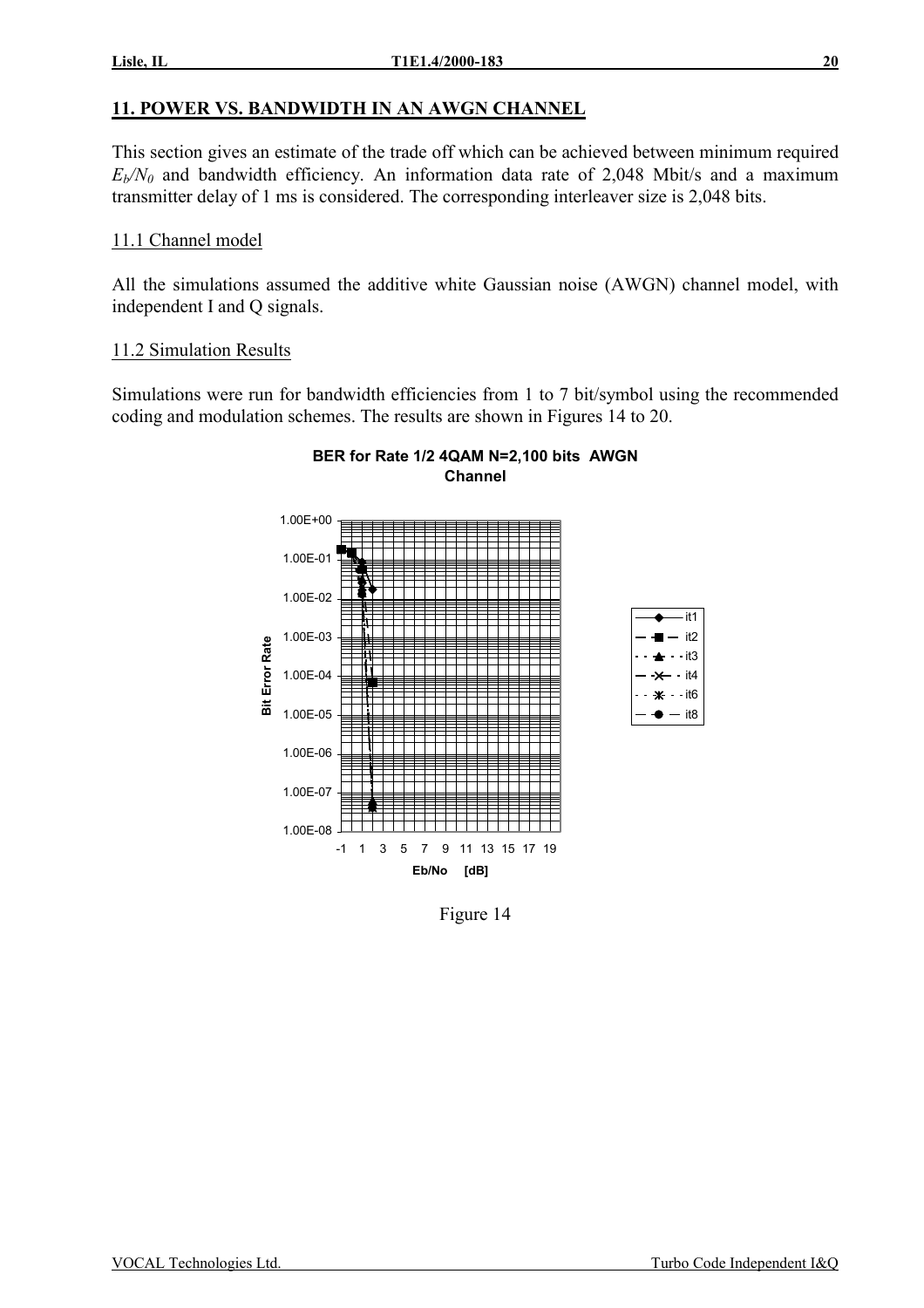# **11. POWER VS. BANDWIDTH IN AN AWGN CHANNEL**

This section gives an estimate of the trade off which can be achieved between minimum required  $E_b/N_0$  and bandwidth efficiency. An information data rate of 2,048 Mbit/s and a maximum transmitter delay of 1 ms is considered. The corresponding interleaver size is 2,048 bits.

# 11.1 Channel model

All the simulations assumed the additive white Gaussian noise (AWGN) channel model, with independent I and Q signals.

# 11.2 Simulation Results

Simulations were run for bandwidth efficiencies from 1 to 7 bit/symbol using the recommended coding and modulation schemes. The results are shown in Figures 14 to 20.

**BER for Rate 1/2 4QAM N=2,100 bits AWGN** 



Figure 14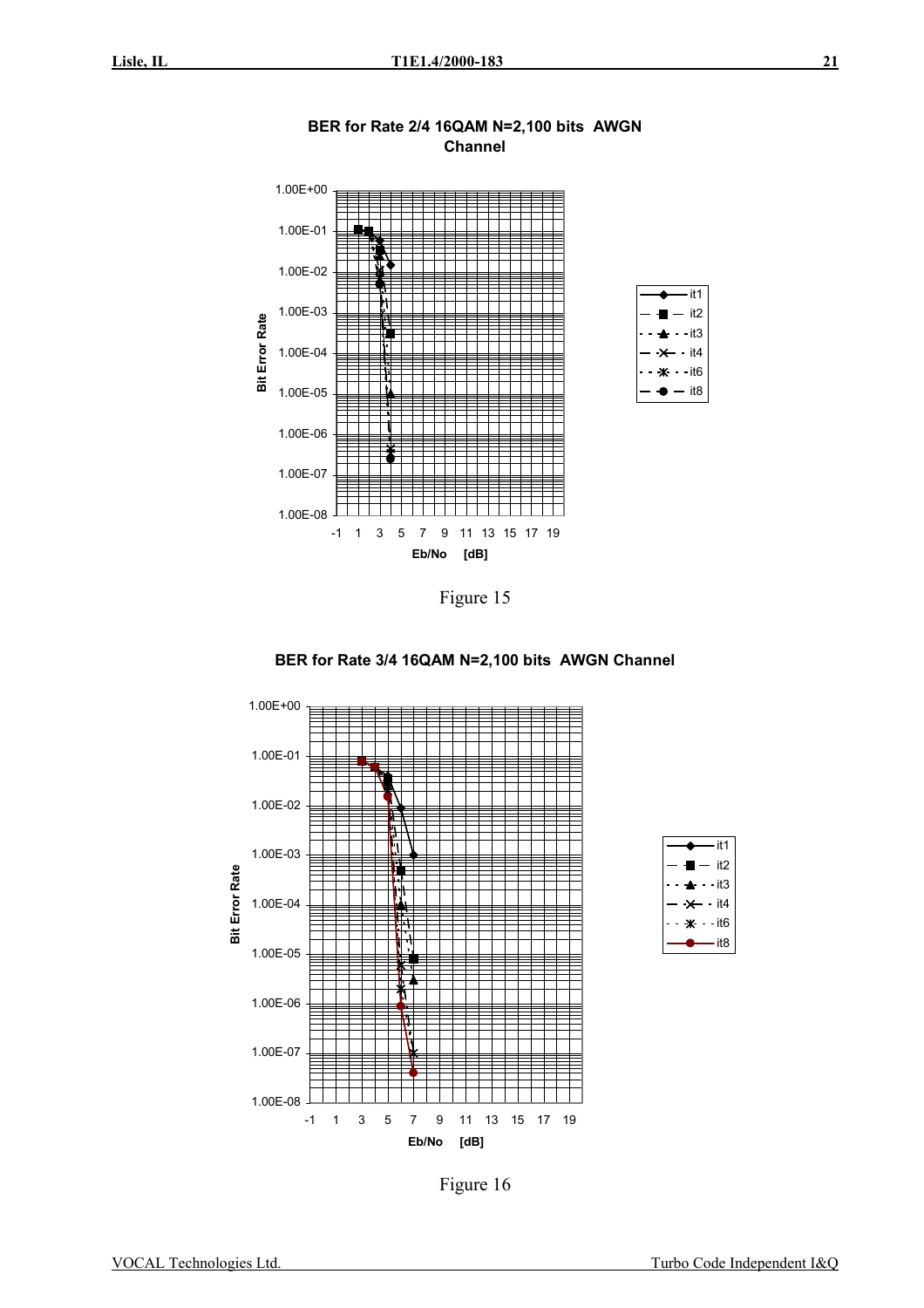









Figure 16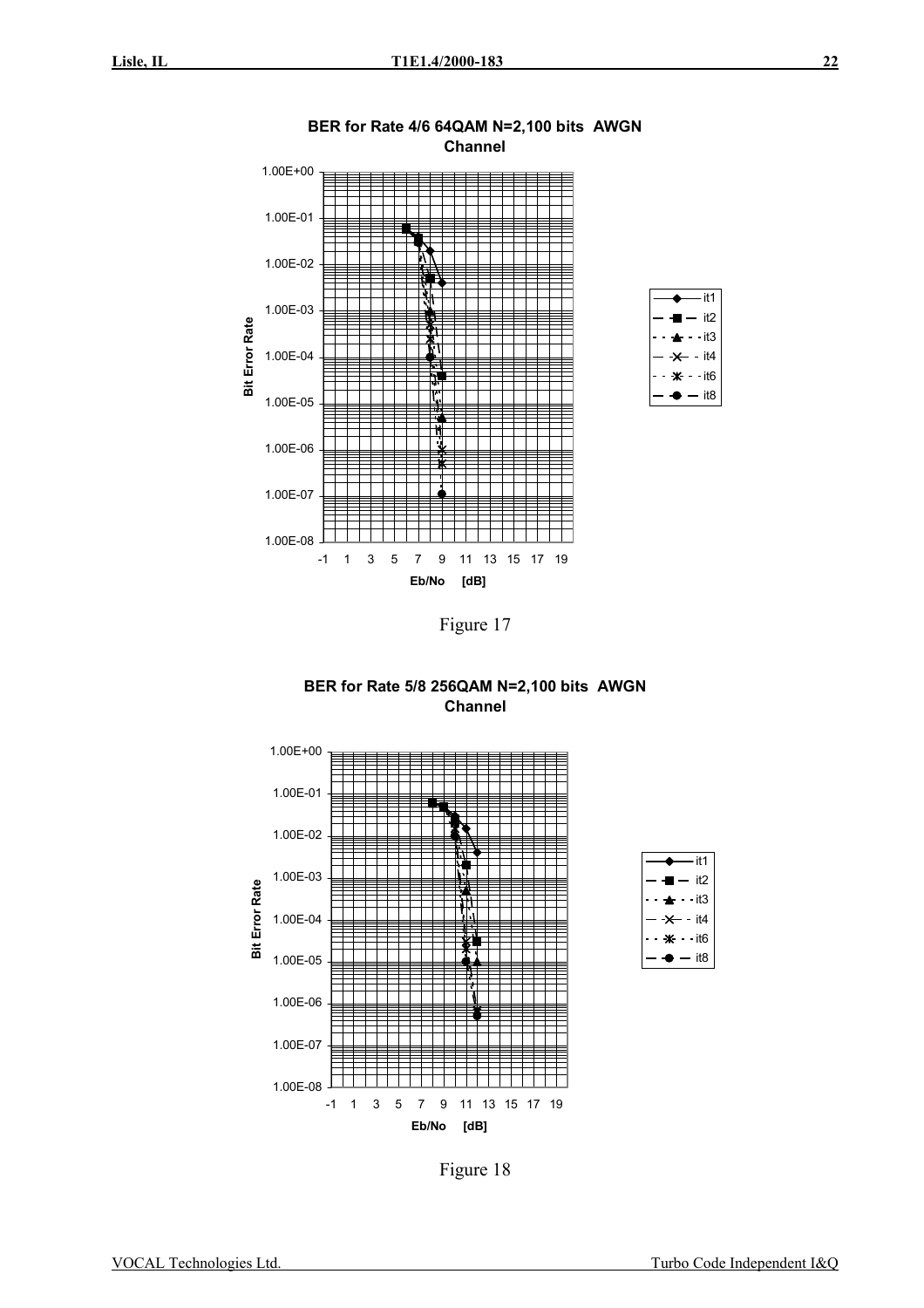

**BER for Rate 4/6 64QAM N=2,100 bits AWGN** 

Figure 17





Figure 18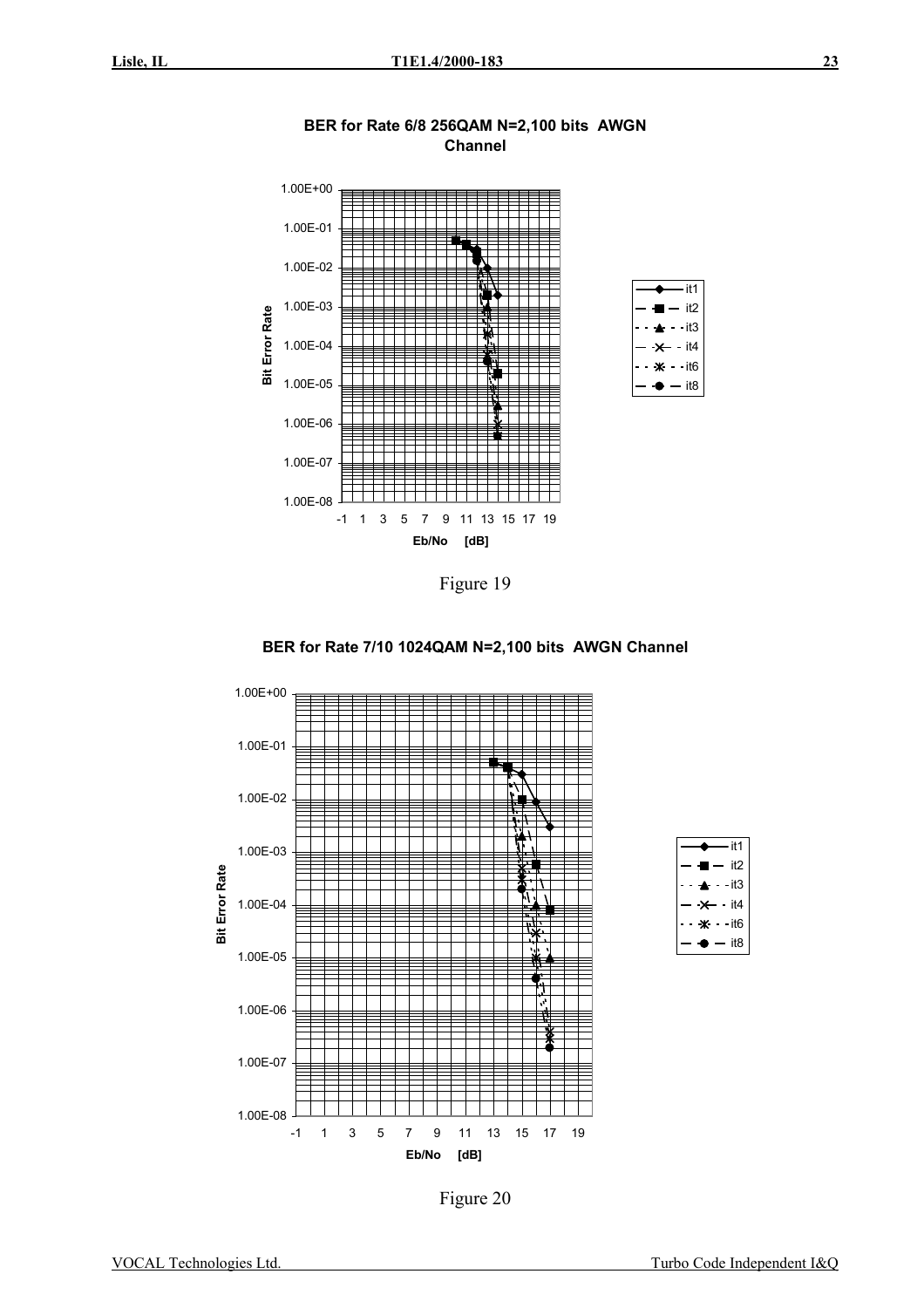

**BER for Rate 6/8 256QAM N=2,100 bits AWGN Channel** 

Figure 19